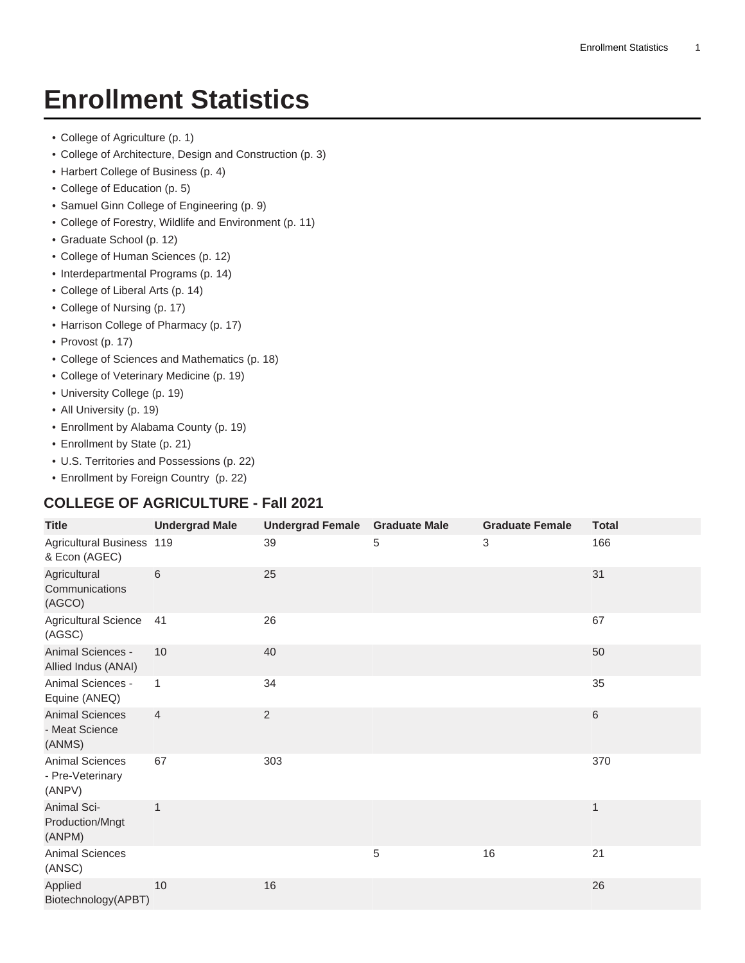# **Enrollment Statistics**

- [College of Agriculture](#page-0-0) ([p. 1\)](#page-0-0)
- [College of Architecture, Design and Construction \(p. 3](#page-2-0))
- [Harbert College of Business](#page-3-0) ([p. 4\)](#page-3-0)
- [College of Education](#page-4-0) ([p. 5\)](#page-4-0)
- [Samuel Ginn College of Engineering \(p. 9](#page-8-0))
- [College of Forestry, Wildlife and Environment \(p. 11](#page-10-0))
- [Graduate School \(p. 12](#page-11-0))
- [College of Human Sciences](#page-11-1) ([p. 12\)](#page-11-1)
- [Interdepartmental Programs](#page-13-0) ([p. 14\)](#page-13-0)
- [College of Liberal Arts \(p. 14](#page-13-1))
- [College of Nursing](#page-16-0) ([p. 17\)](#page-16-0)
- [Harrison College of Pharmacy](#page-16-1) ([p. 17\)](#page-16-1)
- [Provost \(p. 17](#page-16-2))
- [College of Sciences and Mathematics \(p. 18](#page-17-0))
- [College of Veterinary Medicine \(p. 19](#page-18-0))
- [University College \(p. 19](#page-18-1))
- [All University](#page-18-2) ([p. 19\)](#page-18-2)
- [Enrollment by Alabama County](#page-18-3) ([p. 19\)](#page-18-3)
- [Enrollment by State \(p. 21](#page-20-0))
- [U.S. Territories and Possessions](#page-21-0) ([p. 22\)](#page-21-0)
- [Enrollment by Foreign Country \(p. 22](#page-21-1))

#### <span id="page-0-0"></span>**COLLEGE OF AGRICULTURE - Fall 2021**

| <b>Title</b>                                         | <b>Undergrad Male</b> | Undergrad Female Graduate Male |   | <b>Graduate Female</b> | <b>Total</b> |
|------------------------------------------------------|-----------------------|--------------------------------|---|------------------------|--------------|
| Agricultural Business 119<br>& Econ (AGEC)           |                       | 39                             | 5 | 3                      | 166          |
| Agricultural<br>Communications<br>(AGCO)             | 6                     | 25                             |   |                        | 31           |
| <b>Agricultural Science</b><br>(AGSC)                | 41                    | 26                             |   |                        | 67           |
| Animal Sciences -<br>Allied Indus (ANAI)             | 10                    | 40                             |   |                        | 50           |
| Animal Sciences -<br>Equine (ANEQ)                   | $\mathbf{1}$          | 34                             |   |                        | 35           |
| <b>Animal Sciences</b><br>- Meat Science<br>(ANMS)   | $\overline{4}$        | $\overline{2}$                 |   |                        | $6\,$        |
| <b>Animal Sciences</b><br>- Pre-Veterinary<br>(ANPV) | 67                    | 303                            |   |                        | 370          |
| Animal Sci-<br>Production/Mngt<br>(ANPM)             | 1                     |                                |   |                        | $\mathbf 1$  |
| <b>Animal Sciences</b><br>(ANSC)                     |                       |                                | 5 | 16                     | 21           |
| Applied<br>Biotechnology(APBT)                       | 10                    | 16                             |   |                        | 26           |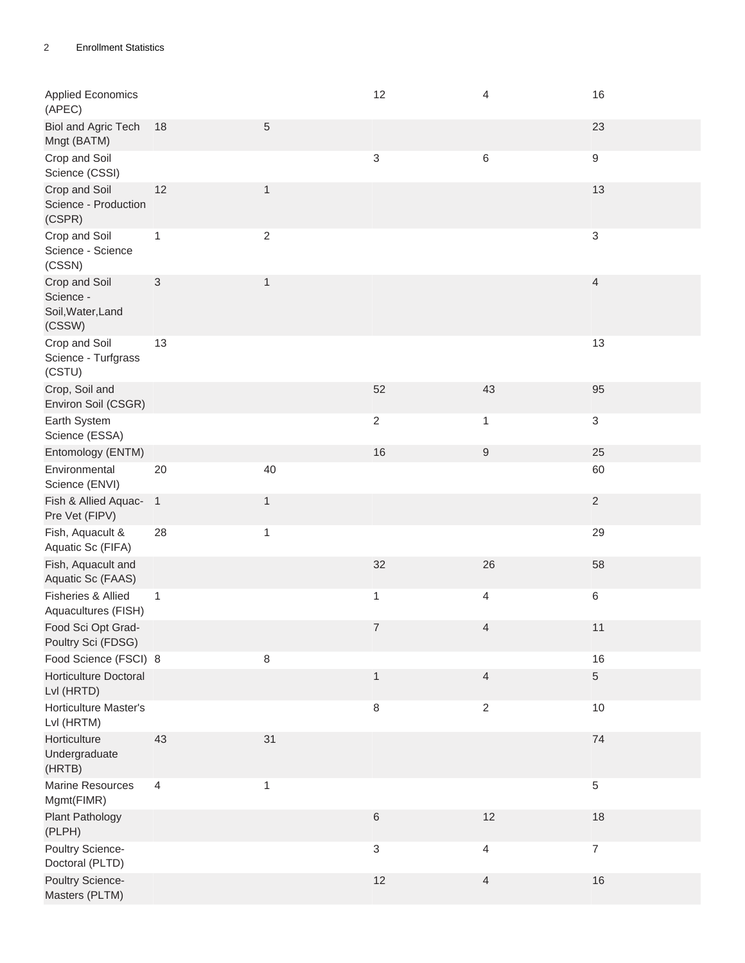| <b>Applied Economics</b><br>(APEC)                        |                |                | 12             | 4              | 16               |
|-----------------------------------------------------------|----------------|----------------|----------------|----------------|------------------|
| <b>Biol and Agric Tech</b><br>Mngt (BATM)                 | 18             | 5              |                |                | 23               |
| Crop and Soil<br>Science (CSSI)                           |                |                | $\sqrt{3}$     | $\,6\,$        | $\boldsymbol{9}$ |
| Crop and Soil<br>Science - Production<br>(CSPR)           | 12             | $\mathbf{1}$   |                |                | 13               |
| Crop and Soil<br>Science - Science<br>(CSSN)              | $\mathbf{1}$   | $\overline{c}$ |                |                | 3                |
| Crop and Soil<br>Science -<br>Soil, Water, Land<br>(CSSW) | $\sqrt{3}$     | $\mathbf{1}$   |                |                | $\overline{4}$   |
| Crop and Soil<br>Science - Turfgrass<br>(CSTU)            | 13             |                |                |                | 13               |
| Crop, Soil and<br>Environ Soil (CSGR)                     |                |                | 52             | 43             | 95               |
| Earth System<br>Science (ESSA)                            |                |                | $\sqrt{2}$     | 1              | 3                |
| Entomology (ENTM)                                         |                |                | 16             | $9\,$          | 25               |
| Environmental<br>Science (ENVI)                           | 20             | 40             |                |                | 60               |
| Fish & Allied Aquac- 1<br>Pre Vet (FIPV)                  |                | $\mathbf{1}$   |                |                | $\sqrt{2}$       |
| Fish, Aquacult &<br>Aquatic Sc (FIFA)                     | 28             | $\mathbf{1}$   |                |                | 29               |
| Fish, Aquacult and<br>Aquatic Sc (FAAS)                   |                |                | 32             | 26             | 58               |
| Fisheries & Allied<br>Aquacultures (FISH)                 | $\mathbf{1}$   |                | $\mathbf{1}$   | $\overline{4}$ | 6                |
| Food Sci Opt Grad-<br>Poultry Sci (FDSG)                  |                |                | 7              | 4              | 11               |
| Food Science (FSCI) 8                                     |                | 8              |                |                | 16               |
| Horticulture Doctoral<br>Lvl (HRTD)                       |                |                | $\mathbf{1}$   | $\overline{4}$ | 5                |
| Horticulture Master's<br>Lvl (HRTM)                       |                |                | $\,8\,$        | $\overline{2}$ | $10$             |
| Horticulture<br>Undergraduate<br>(HRTB)                   | 43             | 31             |                |                | 74               |
| Marine Resources<br>Mgmt(FIMR)                            | $\overline{4}$ | $\mathbf{1}$   |                |                | 5                |
| <b>Plant Pathology</b><br>(PLPH)                          |                |                | $\,6\,$        | 12             | 18               |
| Poultry Science-<br>Doctoral (PLTD)                       |                |                | $\mathfrak{S}$ | $\overline{4}$ | $\boldsymbol{7}$ |
| Poultry Science-<br>Masters (PLTM)                        |                |                | 12             | $\overline{4}$ | $16\,$           |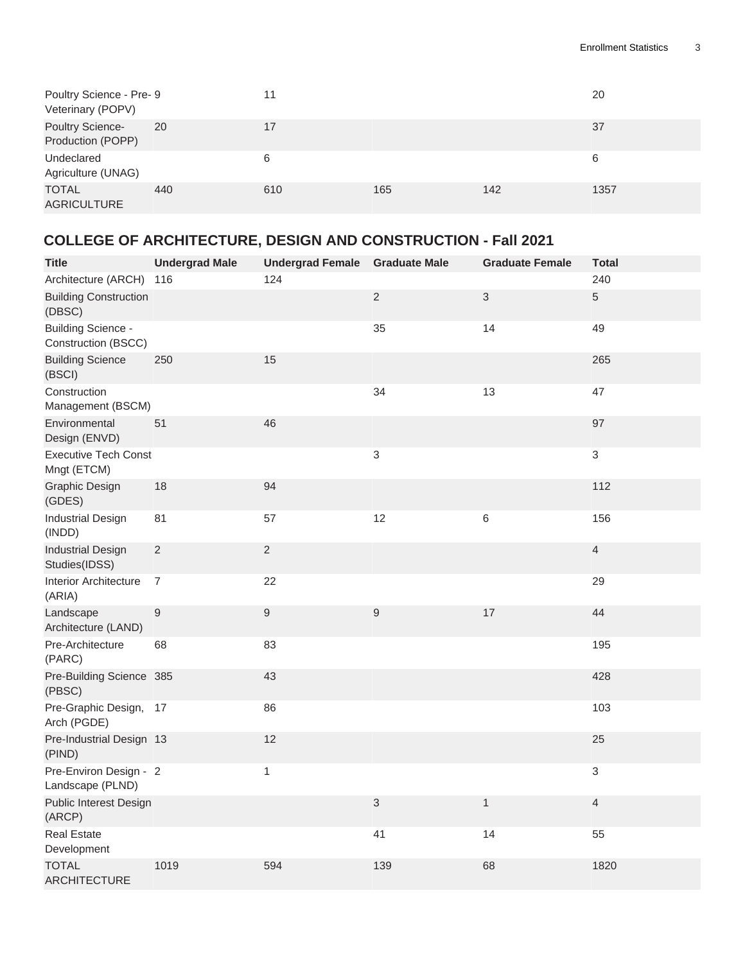| Poultry Science - Pre- 9<br>Veterinary (POPV) |     | 11  |     |     | 20   |
|-----------------------------------------------|-----|-----|-----|-----|------|
| Poultry Science-<br>Production (POPP)         | 20  | 17  |     |     | 37   |
| Undeclared<br>Agriculture (UNAG)              |     | 6   |     |     | 6    |
| <b>TOTAL</b><br><b>AGRICULTURE</b>            | 440 | 610 | 165 | 142 | 1357 |

#### <span id="page-2-0"></span>**COLLEGE OF ARCHITECTURE, DESIGN AND CONSTRUCTION - Fall 2021**

| <b>Title</b>                                     | <b>Undergrad Male</b> | <b>Undergrad Female</b> | <b>Graduate Male</b> | <b>Graduate Female</b> | <b>Total</b>   |
|--------------------------------------------------|-----------------------|-------------------------|----------------------|------------------------|----------------|
| Architecture (ARCH)                              | 116                   | 124                     |                      |                        | 240            |
| <b>Building Construction</b><br>(DBSC)           |                       |                         | $\overline{2}$       | $\mathfrak{S}$         | $\overline{5}$ |
| <b>Building Science -</b><br>Construction (BSCC) |                       |                         | 35                   | 14                     | 49             |
| <b>Building Science</b><br>(BSCI)                | 250                   | 15                      |                      |                        | 265            |
| Construction<br>Management (BSCM)                |                       |                         | 34                   | 13                     | 47             |
| Environmental<br>Design (ENVD)                   | 51                    | 46                      |                      |                        | 97             |
| <b>Executive Tech Const</b><br>Mngt (ETCM)       |                       |                         | 3                    |                        | $\mathfrak{S}$ |
| <b>Graphic Design</b><br>(GDES)                  | 18                    | 94                      |                      |                        | 112            |
| <b>Industrial Design</b><br>(INDD)               | 81                    | 57                      | 12                   | $\,6\,$                | 156            |
| <b>Industrial Design</b><br>Studies(IDSS)        | $\overline{2}$        | $\overline{2}$          |                      |                        | $\overline{4}$ |
| <b>Interior Architecture</b><br>(ARIA)           | $\overline{7}$        | 22                      |                      |                        | 29             |
| Landscape<br>Architecture (LAND)                 | $\boldsymbol{9}$      | $\hbox{9}$              | $\boldsymbol{9}$     | 17                     | 44             |
| Pre-Architecture<br>(PARC)                       | 68                    | 83                      |                      |                        | 195            |
| Pre-Building Science 385<br>(PBSC)               |                       | 43                      |                      |                        | 428            |
| Pre-Graphic Design, 17<br>Arch (PGDE)            |                       | 86                      |                      |                        | 103            |
| Pre-Industrial Design 13<br>(PIND)               |                       | 12                      |                      |                        | 25             |
| Pre-Environ Design - 2<br>Landscape (PLND)       |                       | $\mathbf{1}$            |                      |                        | $\mathfrak{S}$ |
| Public Interest Design<br>(ARCP)                 |                       |                         | 3                    | $\mathbf{1}$           | $\overline{4}$ |
| <b>Real Estate</b><br>Development                |                       |                         | 41                   | 14                     | 55             |
| <b>TOTAL</b><br><b>ARCHITECTURE</b>              | 1019                  | 594                     | 139                  | 68                     | 1820           |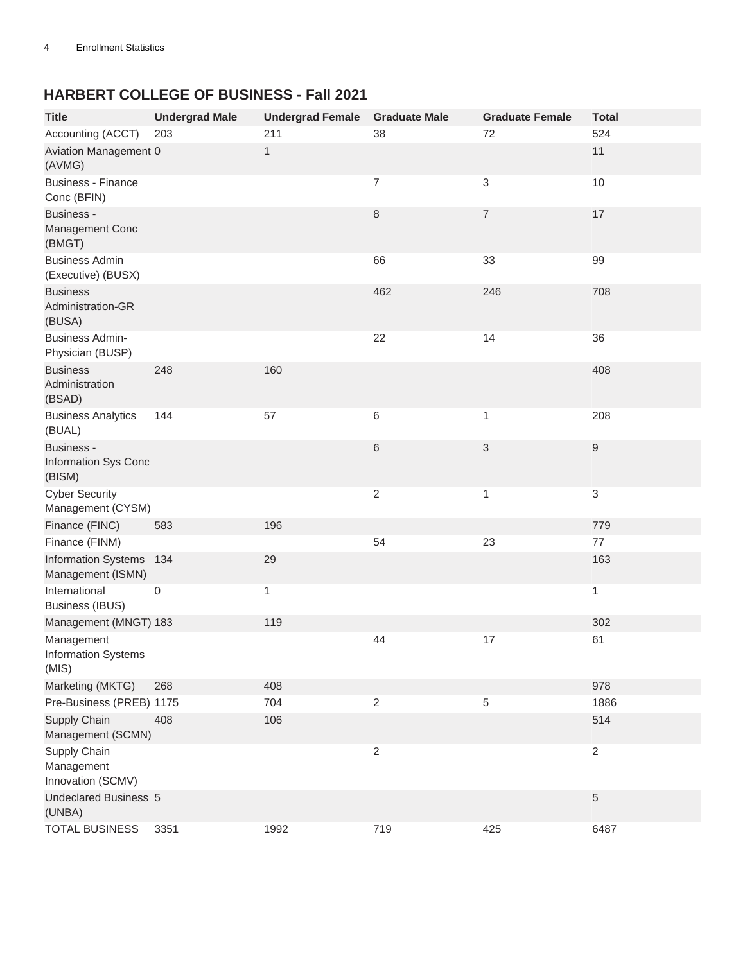#### <span id="page-3-0"></span>**HARBERT COLLEGE OF BUSINESS - Fall 2021**

| <b>Title</b>                                        | <b>Undergrad Male</b> | <b>Undergrad Female</b> | <b>Graduate Male</b> | <b>Graduate Female</b> | <b>Total</b>              |
|-----------------------------------------------------|-----------------------|-------------------------|----------------------|------------------------|---------------------------|
| Accounting (ACCT)                                   | 203                   | 211                     | 38                   | 72                     | 524                       |
| Aviation Management 0<br>(AVMG)                     |                       | $\mathbf{1}$            |                      |                        | 11                        |
| <b>Business - Finance</b><br>Conc (BFIN)            |                       |                         | 7                    | 3                      | $10$                      |
| <b>Business -</b><br>Management Conc<br>(BMGT)      |                       |                         | 8                    | $\overline{7}$         | 17                        |
| <b>Business Admin</b><br>(Executive) (BUSX)         |                       |                         | 66                   | 33                     | 99                        |
| <b>Business</b><br>Administration-GR<br>(BUSA)      |                       |                         | 462                  | 246                    | 708                       |
| <b>Business Admin-</b><br>Physician (BUSP)          |                       |                         | 22                   | 14                     | 36                        |
| <b>Business</b><br>Administration<br>(BSAD)         | 248                   | 160                     |                      |                        | 408                       |
| <b>Business Analytics</b><br>(BUAL)                 | 144                   | 57                      | 6                    | 1                      | 208                       |
| <b>Business -</b><br>Information Sys Conc<br>(BISM) |                       |                         | 6                    | 3                      | $\boldsymbol{9}$          |
| <b>Cyber Security</b><br>Management (CYSM)          |                       |                         | $\overline{c}$       | 1                      | $\ensuremath{\mathsf{3}}$ |
| Finance (FINC)                                      | 583                   | 196                     |                      |                        | 779                       |
| Finance (FINM)                                      |                       |                         | 54                   | 23                     | 77                        |
| <b>Information Systems</b><br>Management (ISMN)     | 134                   | 29                      |                      |                        | 163                       |
| International<br><b>Business (IBUS)</b>             | 0                     | 1                       |                      |                        | 1                         |
| Management (MNGT) 183                               |                       | 119                     |                      |                        | 302                       |
| Management<br><b>Information Systems</b><br>(MIS)   |                       |                         | 44                   | 17                     | 61                        |
| Marketing (MKTG)                                    | 268                   | 408                     |                      |                        | 978                       |
| Pre-Business (PREB) 1175                            |                       | 704                     | $\overline{2}$       | 5                      | 1886                      |
| Supply Chain<br>Management (SCMN)                   | 408                   | 106                     |                      |                        | 514                       |
| Supply Chain<br>Management<br>Innovation (SCMV)     |                       |                         | $\overline{2}$       |                        | $\sqrt{2}$                |
| <b>Undeclared Business 5</b><br>(UNBA)              |                       |                         |                      |                        | 5                         |
| <b>TOTAL BUSINESS</b>                               | 3351                  | 1992                    | 719                  | 425                    | 6487                      |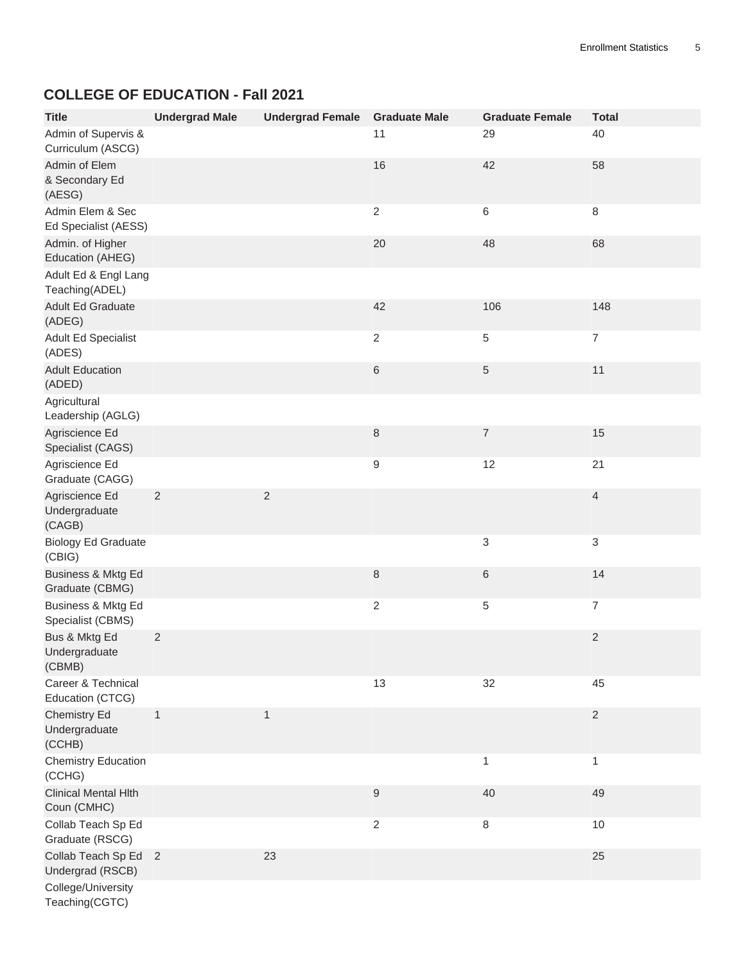#### <span id="page-4-0"></span>**COLLEGE OF EDUCATION - Fall 2021**

| <b>Title</b>                               | <b>Undergrad Male</b> | <b>Undergrad Female</b> | <b>Graduate Male</b> | <b>Graduate Female</b> | <b>Total</b>   |
|--------------------------------------------|-----------------------|-------------------------|----------------------|------------------------|----------------|
| Admin of Supervis &<br>Curriculum (ASCG)   |                       |                         | 11                   | 29                     | 40             |
| Admin of Elem<br>& Secondary Ed<br>(AESG)  |                       |                         | 16                   | 42                     | 58             |
| Admin Elem & Sec<br>Ed Specialist (AESS)   |                       |                         | $\overline{2}$       | 6                      | $\,8\,$        |
| Admin. of Higher<br>Education (AHEG)       |                       |                         | 20                   | 48                     | 68             |
| Adult Ed & Engl Lang<br>Teaching(ADEL)     |                       |                         |                      |                        |                |
| <b>Adult Ed Graduate</b><br>(ADEG)         |                       |                         | 42                   | 106                    | 148            |
| <b>Adult Ed Specialist</b><br>(ADES)       |                       |                         | $\overline{2}$       | 5                      | $\overline{7}$ |
| <b>Adult Education</b><br>(ADED)           |                       |                         | $\,6$                | 5                      | 11             |
| Agricultural<br>Leadership (AGLG)          |                       |                         |                      |                        |                |
| Agriscience Ed<br>Specialist (CAGS)        |                       |                         | $\,8\,$              | $\overline{7}$         | 15             |
| Agriscience Ed<br>Graduate (CAGG)          |                       |                         | 9                    | 12                     | 21             |
| Agriscience Ed<br>Undergraduate<br>(CAGB)  | $\overline{2}$        | $\mathbf 2$             |                      |                        | 4              |
| <b>Biology Ed Graduate</b><br>(CBIG)       |                       |                         |                      | 3                      | $\mathsf 3$    |
| Business & Mktg Ed<br>Graduate (CBMG)      |                       |                         | $\,8\,$              | 6                      | 14             |
| Business & Mktg Ed<br>Specialist (CBMS)    |                       |                         | $\overline{2}$       | 5                      | $\overline{7}$ |
| Bus & Mktg Ed<br>Undergraduate<br>(CBMB)   | $\sqrt{2}$            |                         |                      |                        | 2              |
| Career & Technical<br>Education (CTCG)     |                       |                         | 13                   | 32                     | 45             |
| Chemistry Ed<br>Undergraduate<br>(CCHB)    | 1                     | 1                       |                      |                        | $\sqrt{2}$     |
| <b>Chemistry Education</b><br>(CCHG)       |                       |                         |                      | 1                      | 1              |
| <b>Clinical Mental Hith</b><br>Coun (CMHC) |                       |                         | $\boldsymbol{9}$     | 40                     | 49             |
| Collab Teach Sp Ed<br>Graduate (RSCG)      |                       |                         | $\sqrt{2}$           | 8                      | 10             |
| Collab Teach Sp Ed 2<br>Undergrad (RSCB)   |                       | 23                      |                      |                        | 25             |
| College/University<br>Teaching(CGTC)       |                       |                         |                      |                        |                |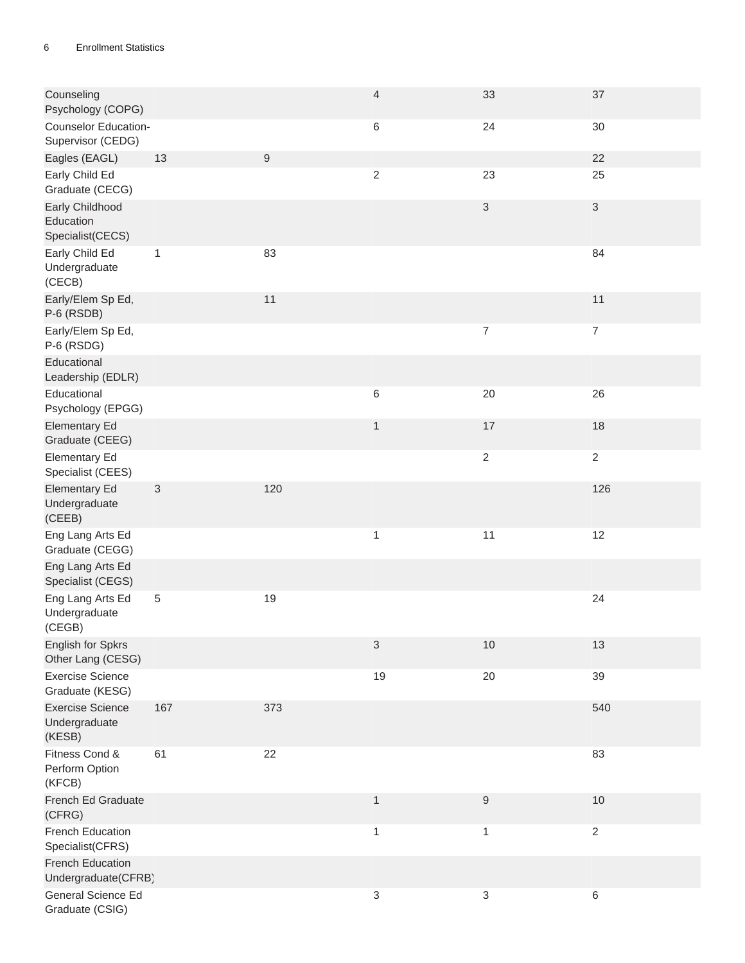| Counseling<br>Psychology (COPG)                    |              |                  | $\overline{\mathcal{L}}$ | 33                        | 37             |
|----------------------------------------------------|--------------|------------------|--------------------------|---------------------------|----------------|
| Counselor Education-<br>Supervisor (CEDG)          |              |                  | 6                        | 24                        | 30             |
| Eagles (EAGL)                                      | 13           | $\boldsymbol{9}$ |                          |                           | 22             |
| Early Child Ed<br>Graduate (CECG)                  |              |                  | $\sqrt{2}$               | 23                        | 25             |
| Early Childhood<br>Education<br>Specialist(CECS)   |              |                  |                          | $\ensuremath{\mathsf{3}}$ | 3              |
| Early Child Ed<br>Undergraduate<br>(CECB)          | $\mathbf{1}$ | 83               |                          |                           | 84             |
| Early/Elem Sp Ed,<br>P-6 (RSDB)                    |              | 11               |                          |                           | 11             |
| Early/Elem Sp Ed,<br>P-6 (RSDG)                    |              |                  |                          | $\overline{7}$            | $\overline{7}$ |
| Educational<br>Leadership (EDLR)                   |              |                  |                          |                           |                |
| Educational<br>Psychology (EPGG)                   |              |                  | 6                        | 20                        | 26             |
| <b>Elementary Ed</b><br>Graduate (CEEG)            |              |                  | $\mathbf{1}$             | $17$                      | 18             |
| <b>Elementary Ed</b><br>Specialist (CEES)          |              |                  |                          | $\overline{2}$            | $\overline{2}$ |
| <b>Elementary Ed</b><br>Undergraduate<br>(CEEB)    | $\sqrt{3}$   | 120              |                          |                           | 126            |
| Eng Lang Arts Ed<br>Graduate (CEGG)                |              |                  | $\mathbf 1$              | 11                        | 12             |
| Eng Lang Arts Ed<br>Specialist (CEGS)              |              |                  |                          |                           |                |
| Eng Lang Arts Ed<br>Undergraduate<br>(CEGB)        | $\sqrt{5}$   | 19               |                          |                           | 24             |
| English for Spkrs<br>Other Lang (CESG)             |              |                  | $\sqrt{3}$               | 10                        | 13             |
| <b>Exercise Science</b><br>Graduate (KESG)         |              |                  | 19                       | $20\,$                    | 39             |
| <b>Exercise Science</b><br>Undergraduate<br>(KESB) | 167          | 373              |                          |                           | 540            |
| Fitness Cond &<br>Perform Option<br>(KFCB)         | 61           | 22               |                          |                           | 83             |
| French Ed Graduate<br>(CFRG)                       |              |                  | $\mathbf{1}$             | $\boldsymbol{9}$          | 10             |
| French Education<br>Specialist(CFRS)               |              |                  | $\mathbf{1}$             | $\mathbf{1}$              | $\overline{2}$ |
| French Education<br>Undergraduate(CFRB)            |              |                  |                          |                           |                |
| General Science Ed<br>Graduate (CSIG)              |              |                  | $\sqrt{3}$               | $\sqrt{3}$                | 6              |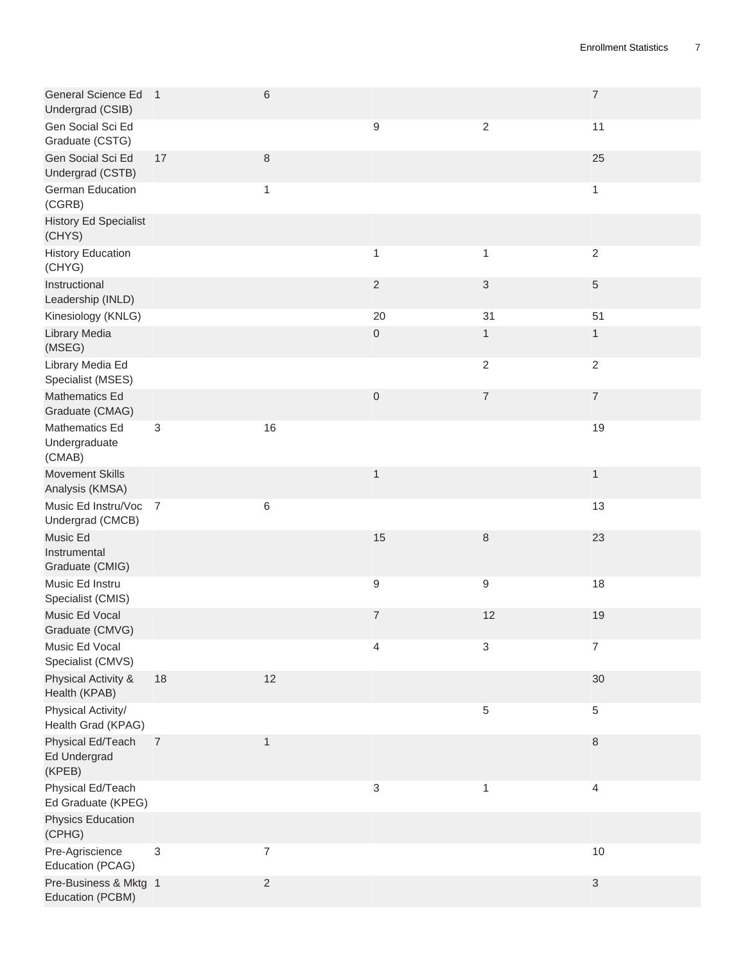| General Science Ed 1<br>Undergrad (CSIB)    |                           | $\,6\,$                  |                  |                           | $\boldsymbol{7}$          |
|---------------------------------------------|---------------------------|--------------------------|------------------|---------------------------|---------------------------|
| Gen Social Sci Ed<br>Graduate (CSTG)        |                           |                          | $\boldsymbol{9}$ | $\sqrt{2}$                | 11                        |
| Gen Social Sci Ed<br>Undergrad (CSTB)       | 17                        | $\,8\,$                  |                  |                           | 25                        |
| German Education<br>(CGRB)                  |                           | $\mathbf{1}$             |                  |                           | $\mathbf{1}$              |
| <b>History Ed Specialist</b><br>(CHYS)      |                           |                          |                  |                           |                           |
| <b>History Education</b><br>(CHYG)          |                           |                          | 1                | $\mathbf{1}$              | $\sqrt{2}$                |
| Instructional<br>Leadership (INLD)          |                           |                          | $\overline{2}$   | $\ensuremath{\mathsf{3}}$ | 5                         |
| Kinesiology (KNLG)<br>Library Media         |                           |                          | 20<br>$\,0\,$    | 31<br>$\mathbf{1}$        | 51<br>$\mathbf{1}$        |
| (MSEG)<br>Library Media Ed                  |                           |                          |                  | $\sqrt{2}$                | $\sqrt{2}$                |
| Specialist (MSES)                           |                           |                          |                  |                           |                           |
| Mathematics Ed<br>Graduate (CMAG)           |                           |                          | $\boldsymbol{0}$ | $\boldsymbol{7}$          | $\boldsymbol{7}$          |
| Mathematics Ed<br>Undergraduate<br>(CMAB)   | $\ensuremath{\mathsf{3}}$ | 16                       |                  |                           | 19                        |
| <b>Movement Skills</b><br>Analysis (KMSA)   |                           |                          | $\mathbf{1}$     |                           | $\mathbf{1}$              |
| Music Ed Instru/Voc 7<br>Undergrad (CMCB)   |                           | 6                        |                  |                           | 13                        |
| Music Ed<br>Instrumental<br>Graduate (CMIG) |                           |                          | 15               | $\,8\,$                   | 23                        |
| Music Ed Instru<br>Specialist (CMIS)        |                           |                          | $\boldsymbol{9}$ | $\mathsf 9$               | 18                        |
| Music Ed Vocal<br>Graduate (CMVG)           |                           |                          | $\boldsymbol{7}$ | 12                        | 19                        |
| Music Ed Vocal<br>Specialist (CMVS)         |                           |                          | 4                | $\mathsf 3$               | $\boldsymbol{7}$          |
| Physical Activity &<br>Health (KPAB)        | 18                        | 12                       |                  |                           | $30\,$                    |
| Physical Activity/<br>Health Grad (KPAG)    |                           |                          |                  | 5                         | $\,$ 5 $\,$               |
| Physical Ed/Teach<br>Ed Undergrad<br>(KPEB) | $\sqrt{7}$                | 1                        |                  |                           | $\,8\,$                   |
| Physical Ed/Teach<br>Ed Graduate (KPEG)     |                           |                          | $\sqrt{3}$       | $\mathbf 1$               | 4                         |
| <b>Physics Education</b><br>(CPHG)          |                           |                          |                  |                           |                           |
| Pre-Agriscience<br>Education (PCAG)         | $\ensuremath{\mathsf{3}}$ | $\overline{\mathcal{I}}$ |                  |                           | 10                        |
| Pre-Business & Mktg 1<br>Education (PCBM)   |                           | $\sqrt{2}$               |                  |                           | $\ensuremath{\mathsf{3}}$ |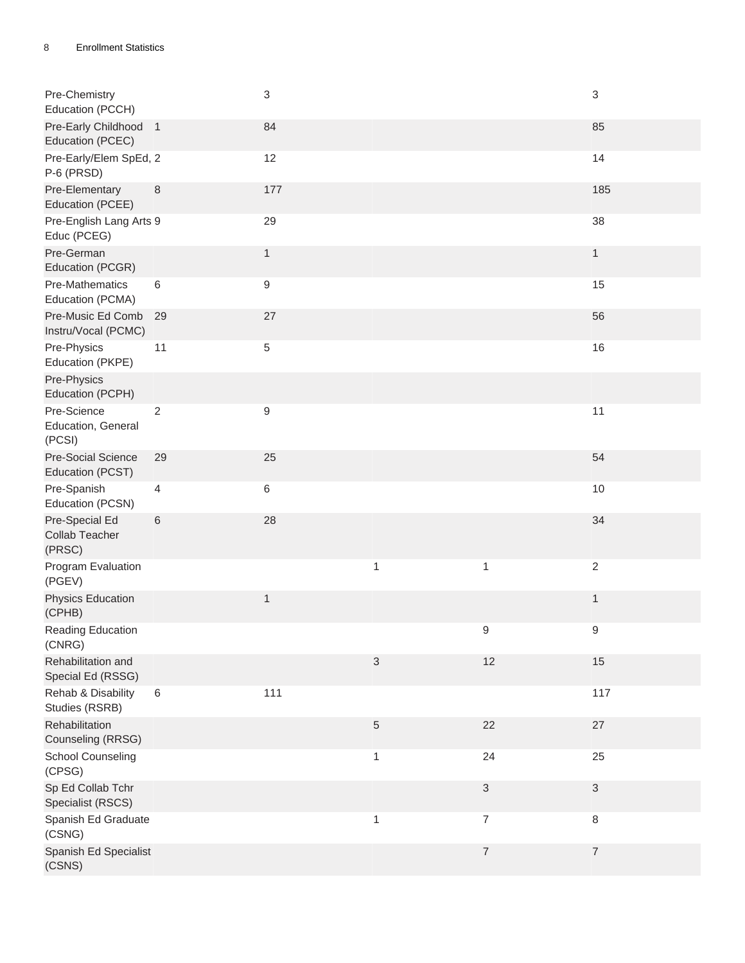| Pre-Chemistry<br>Education (PCCH)           |                | 3            |              |                           | 3            |
|---------------------------------------------|----------------|--------------|--------------|---------------------------|--------------|
| Pre-Early Childhood 1<br>Education (PCEC)   |                | 84           |              |                           | 85           |
| Pre-Early/Elem SpEd, 2<br>P-6 (PRSD)        |                | 12           |              |                           | 14           |
| Pre-Elementary<br>Education (PCEE)          | 8              | 177          |              |                           | 185          |
| Pre-English Lang Arts 9<br>Educ (PCEG)      |                | 29           |              |                           | 38           |
| Pre-German<br>Education (PCGR)              |                | $\mathbf{1}$ |              |                           | $\mathbf{1}$ |
| Pre-Mathematics<br>Education (PCMA)         | 6              | 9            |              |                           | 15           |
| Pre-Music Ed Comb<br>Instru/Vocal (PCMC)    | 29             | 27           |              |                           | 56           |
| Pre-Physics<br>Education (PKPE)             | 11             | 5            |              |                           | 16           |
| Pre-Physics<br>Education (PCPH)             |                |              |              |                           |              |
| Pre-Science<br>Education, General<br>(PCSI) | $\overline{2}$ | 9            |              |                           | 11           |
| Pre-Social Science<br>Education (PCST)      | 29             | 25           |              |                           | 54           |
| Pre-Spanish<br>Education (PCSN)             | $\overline{4}$ | $\,6$        |              |                           | 10           |
| Pre-Special Ed<br>Collab Teacher<br>(PRSC)  | 6              | 28           |              |                           | 34           |
| Program Evaluation<br>(PGEV)                |                |              | $\mathbf{1}$ | $\mathbf{1}$              | $\sqrt{2}$   |
| <b>Physics Education</b><br>(CPHB)          |                | $\mathbf{1}$ |              |                           | 1            |
| Reading Education<br>(CNRG)                 |                |              |              | $\boldsymbol{9}$          | 9            |
| Rehabilitation and<br>Special Ed (RSSG)     |                |              | $\sqrt{3}$   | 12                        | 15           |
| Rehab & Disability<br>Studies (RSRB)        | $\,6\,$        | 111          |              |                           | 117          |
| Rehabilitation<br>Counseling (RRSG)         |                |              | $\sqrt{5}$   | 22                        | $27\,$       |
| <b>School Counseling</b><br>(CPSG)          |                |              | $\mathbf{1}$ | 24                        | 25           |
| Sp Ed Collab Tchr<br>Specialist (RSCS)      |                |              |              | $\ensuremath{\mathsf{3}}$ | 3            |
| Spanish Ed Graduate<br>(CSNG)               |                |              | $\mathbf{1}$ | $\overline{\mathcal{I}}$  | 8            |
| Spanish Ed Specialist<br>(CSNS)             |                |              |              | $\boldsymbol{7}$          | 7            |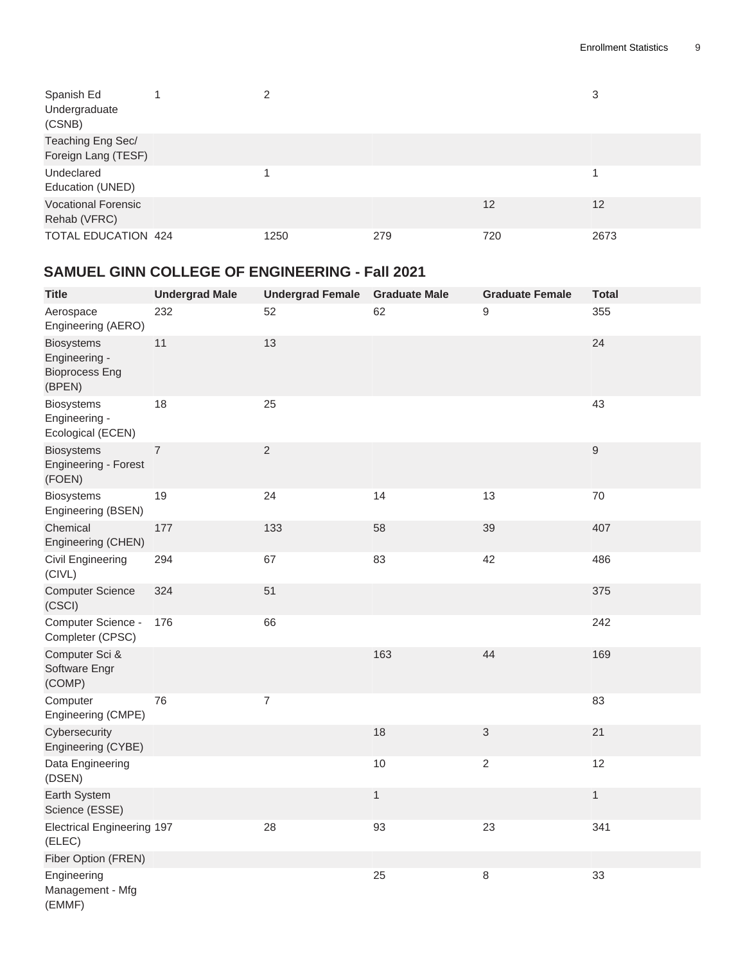| Spanish Ed<br>Undergraduate<br>(CSNB)      | 2    |     |     | 3    |
|--------------------------------------------|------|-----|-----|------|
| Teaching Eng Sec/<br>Foreign Lang (TESF)   |      |     |     |      |
| Undeclared<br>Education (UNED)             |      |     |     |      |
| <b>Vocational Forensic</b><br>Rehab (VFRC) |      |     | 12  | 12   |
| <b>TOTAL EDUCATION 424</b>                 | 1250 | 279 | 720 | 2673 |

#### <span id="page-8-0"></span>**SAMUEL GINN COLLEGE OF ENGINEERING - Fall 2021**

| <b>Title</b>                                                          | <b>Undergrad Male</b> | <b>Undergrad Female</b> | <b>Graduate Male</b> | <b>Graduate Female</b> | <b>Total</b>     |
|-----------------------------------------------------------------------|-----------------------|-------------------------|----------------------|------------------------|------------------|
| Aerospace<br>Engineering (AERO)                                       | 232                   | 52                      | 62                   | 9                      | 355              |
| <b>Biosystems</b><br>Engineering -<br><b>Bioprocess Eng</b><br>(BPEN) | 11                    | 13                      |                      |                        | 24               |
| <b>Biosystems</b><br>Engineering -<br>Ecological (ECEN)               | 18                    | 25                      |                      |                        | 43               |
| <b>Biosystems</b><br>Engineering - Forest<br>(FOEN)                   | $\overline{7}$        | $\overline{2}$          |                      |                        | $\boldsymbol{9}$ |
| <b>Biosystems</b><br>Engineering (BSEN)                               | 19                    | 24                      | 14                   | 13                     | 70               |
| Chemical<br>Engineering (CHEN)                                        | 177                   | 133                     | 58                   | 39                     | 407              |
| <b>Civil Engineering</b><br>(CIVL)                                    | 294                   | 67                      | 83                   | 42                     | 486              |
| <b>Computer Science</b><br>(CSCI)                                     | 324                   | 51                      |                      |                        | 375              |
| Computer Science -<br>Completer (CPSC)                                | 176                   | 66                      |                      |                        | 242              |
| Computer Sci &<br>Software Engr<br>(COMP)                             |                       |                         | 163                  | 44                     | 169              |
| Computer<br>Engineering (CMPE)                                        | 76                    | $\overline{7}$          |                      |                        | 83               |
| Cybersecurity<br>Engineering (CYBE)                                   |                       |                         | 18                   | 3                      | 21               |
| Data Engineering<br>(DSEN)                                            |                       |                         | $10$                 | $\sqrt{2}$             | 12               |
| Earth System<br>Science (ESSE)                                        |                       |                         | $\mathbf{1}$         |                        | $\mathbf{1}$     |
| <b>Electrical Engineering 197</b><br>(ELEC)                           |                       | 28                      | 93                   | 23                     | 341              |
| Fiber Option (FREN)                                                   |                       |                         |                      |                        |                  |
| Engineering<br>Management - Mfg<br>(EMMF)                             |                       |                         | 25                   | $\,8\,$                | 33               |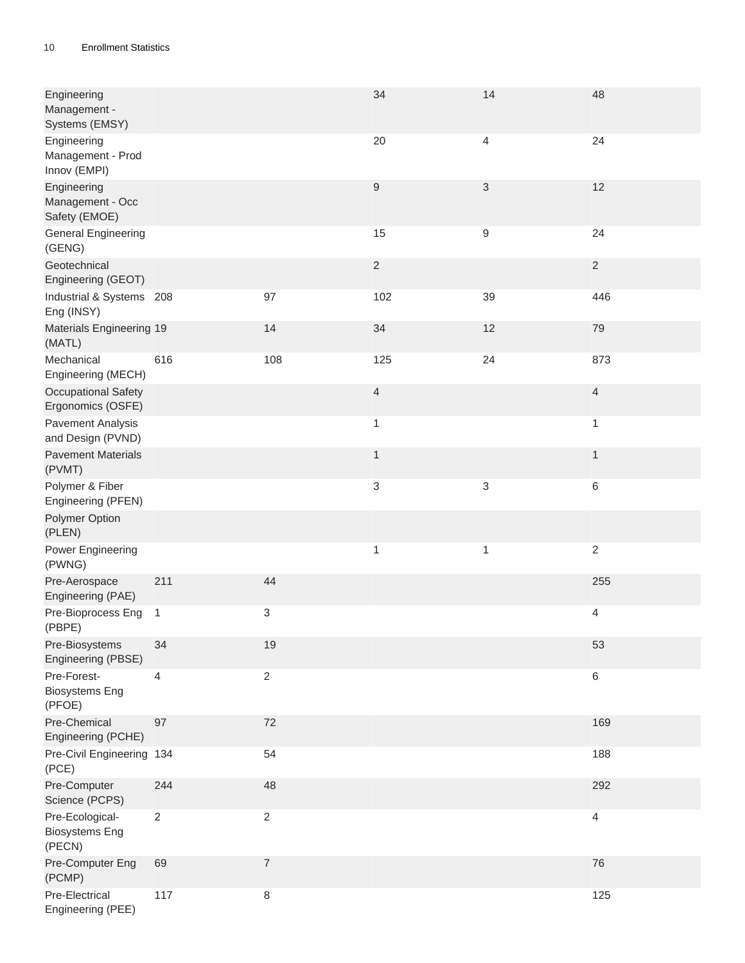| Engineering<br>Management -<br>Systems (EMSY)      |                |                  | 34                       | 14               | 48             |
|----------------------------------------------------|----------------|------------------|--------------------------|------------------|----------------|
| Engineering<br>Management - Prod<br>Innov (EMPI)   |                |                  | 20                       | 4                | 24             |
| Engineering<br>Management - Occ<br>Safety (EMOE)   |                |                  | $\boldsymbol{9}$         | 3                | 12             |
| <b>General Engineering</b><br>(GENG)               |                |                  | 15                       | $\boldsymbol{9}$ | 24             |
| Geotechnical<br>Engineering (GEOT)                 |                |                  | $\sqrt{2}$               |                  | $\sqrt{2}$     |
| Industrial & Systems 208<br>Eng (INSY)             |                | 97               | 102                      | 39               | 446            |
| <b>Materials Engineering 19</b><br>(MATL)          |                | 14               | 34                       | 12               | 79             |
| Mechanical<br>Engineering (MECH)                   | 616            | 108              | 125                      | 24               | 873            |
| Occupational Safety<br>Ergonomics (OSFE)           |                |                  | $\overline{\mathcal{L}}$ |                  | $\overline{4}$ |
| <b>Pavement Analysis</b><br>and Design (PVND)      |                |                  | 1                        |                  | 1              |
| <b>Pavement Materials</b><br>(PVMT)                |                |                  | $\mathbf{1}$             |                  | $\mathbf{1}$   |
| Polymer & Fiber<br>Engineering (PFEN)              |                |                  | 3                        | 3                | 6              |
| Polymer Option<br>(PLEN)                           |                |                  |                          |                  |                |
| Power Engineering<br>(PWNG)                        |                |                  | $\mathbf{1}$             | $\mathbf{1}$     | $\sqrt{2}$     |
| Pre-Aerospace<br>Engineering (PAE)                 | 211            | 44               |                          |                  | 255            |
| Pre-Bioprocess Eng 1<br>(PBPE)                     |                | $\sqrt{3}$       |                          |                  | 4              |
| Pre-Biosystems<br>Engineering (PBSE)               | 34             | 19               |                          |                  | 53             |
| Pre-Forest-<br><b>Biosystems Eng</b><br>(PFOE)     | 4              | $\overline{2}$   |                          |                  | $\,6\,$        |
| Pre-Chemical<br>Engineering (PCHE)                 | 97             | 72               |                          |                  | 169            |
| Pre-Civil Engineering 134<br>(PCE)                 |                | 54               |                          |                  | 188            |
| Pre-Computer<br>Science (PCPS)                     | 244            | 48               |                          |                  | 292            |
| Pre-Ecological-<br><b>Biosystems Eng</b><br>(PECN) | $\overline{2}$ | $\overline{2}$   |                          |                  | $\overline{4}$ |
| Pre-Computer Eng<br>(PCMP)                         | 69             | $\boldsymbol{7}$ |                          |                  | 76             |
| Pre-Electrical<br>Engineering (PEE)                | 117            | $\,8\,$          |                          |                  | 125            |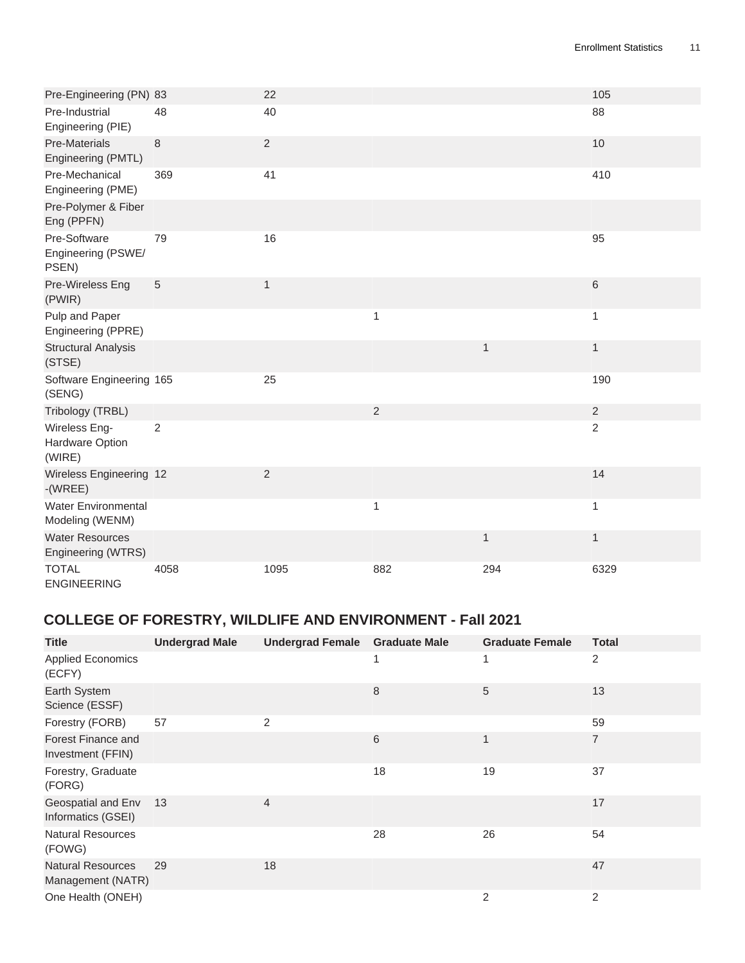| Pre-Engineering (PN) 83                       |                | 22             |                |              | 105            |
|-----------------------------------------------|----------------|----------------|----------------|--------------|----------------|
| Pre-Industrial<br>Engineering (PIE)           | 48             | 40             |                |              | 88             |
| <b>Pre-Materials</b><br>Engineering (PMTL)    | 8              | $\overline{2}$ |                |              | 10             |
| Pre-Mechanical<br>Engineering (PME)           | 369            | 41             |                |              | 410            |
| Pre-Polymer & Fiber<br>Eng (PPFN)             |                |                |                |              |                |
| Pre-Software<br>Engineering (PSWE/<br>PSEN)   | 79             | 16             |                |              | 95             |
| Pre-Wireless Eng<br>(PWIR)                    | $\sqrt{5}$     | $\mathbf{1}$   |                |              | $\,6\,$        |
| Pulp and Paper<br>Engineering (PPRE)          |                |                | 1              |              | 1              |
| <b>Structural Analysis</b><br>(STSE)          |                |                |                | $\mathbf{1}$ | $\mathbf{1}$   |
| Software Engineering 165<br>(SENG)            |                | 25             |                |              | 190            |
| Tribology (TRBL)                              |                |                | $\overline{2}$ |              | $\overline{2}$ |
| Wireless Eng-<br>Hardware Option<br>(WIRE)    | $\overline{2}$ |                |                |              | $\overline{2}$ |
| Wireless Engineering 12<br>$-(WREE)$          |                | $\overline{2}$ |                |              | 14             |
| <b>Water Environmental</b><br>Modeling (WENM) |                |                | 1              |              | $\mathbf{1}$   |
| <b>Water Resources</b><br>Engineering (WTRS)  |                |                |                | $\mathbf{1}$ | $\mathbf{1}$   |
| <b>TOTAL</b><br><b>ENGINEERING</b>            | 4058           | 1095           | 882            | 294          | 6329           |

# <span id="page-10-0"></span>**COLLEGE OF FORESTRY, WILDLIFE AND ENVIRONMENT - Fall 2021**

| <b>Title</b>                                  | <b>Undergrad Male</b> | <b>Undergrad Female</b> | <b>Graduate Male</b> | <b>Graduate Female</b> | <b>Total</b>   |
|-----------------------------------------------|-----------------------|-------------------------|----------------------|------------------------|----------------|
| <b>Applied Economics</b><br>(ECFY)            |                       |                         |                      |                        | $\overline{2}$ |
| Earth System<br>Science (ESSF)                |                       |                         | 8                    | 5                      | 13             |
| Forestry (FORB)                               | 57                    | $\overline{2}$          |                      |                        | 59             |
| Forest Finance and<br>Investment (FFIN)       |                       |                         | 6                    |                        | $\overline{7}$ |
| Forestry, Graduate<br>(FORG)                  |                       |                         | 18                   | 19                     | 37             |
| Geospatial and Env<br>Informatics (GSEI)      | 13                    | $\overline{4}$          |                      |                        | 17             |
| <b>Natural Resources</b><br>(FOWG)            |                       |                         | 28                   | 26                     | 54             |
| <b>Natural Resources</b><br>Management (NATR) | 29                    | 18                      |                      |                        | 47             |
| One Health (ONEH)                             |                       |                         |                      | $\overline{2}$         | 2              |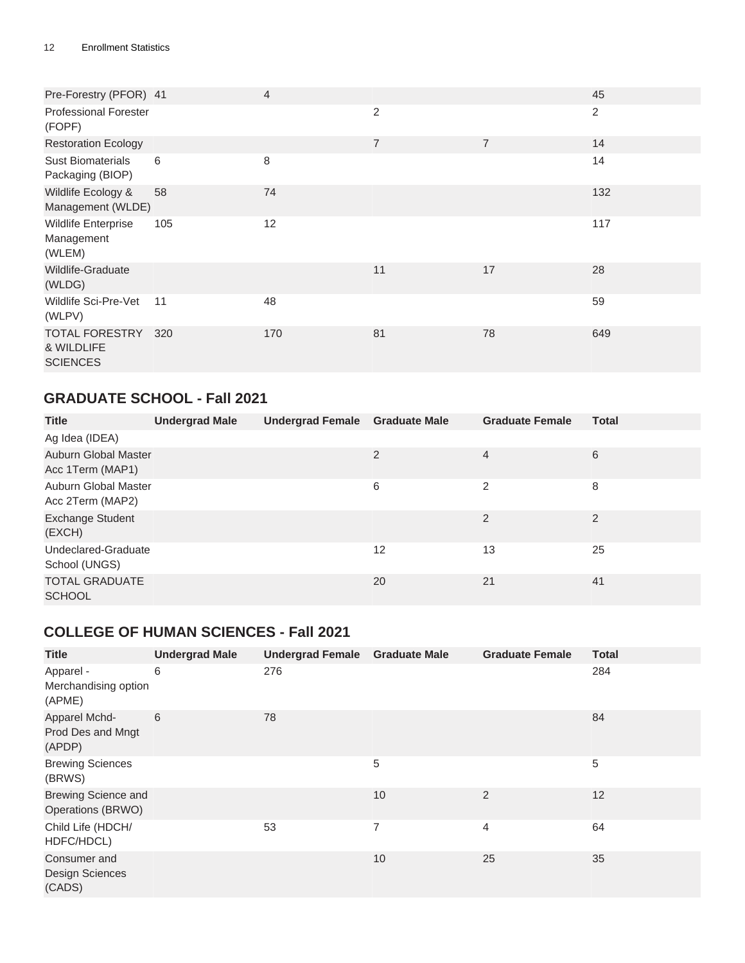| Pre-Forestry (PFOR) 41                             |     | $\overline{4}$ |                |                | 45  |
|----------------------------------------------------|-----|----------------|----------------|----------------|-----|
| <b>Professional Forester</b><br>(FOPF)             |     |                | 2              |                | 2   |
| <b>Restoration Ecology</b>                         |     |                | $\overline{7}$ | $\overline{7}$ | 14  |
| <b>Sust Biomaterials</b><br>Packaging (BIOP)       | 6   | 8              |                |                | 14  |
| Wildlife Ecology &<br>Management (WLDE)            | 58  | 74             |                |                | 132 |
| <b>Wildlife Enterprise</b><br>Management<br>(WLEM) | 105 | 12             |                |                | 117 |
| Wildlife-Graduate<br>(WLDG)                        |     |                | 11             | 17             | 28  |
| Wildlife Sci-Pre-Vet<br>(WLPV)                     | 11  | 48             |                |                | 59  |
| TOTAL FORESTRY<br>& WILDLIFE<br><b>SCIENCES</b>    | 320 | 170            | 81             | 78             | 649 |

### <span id="page-11-0"></span>**GRADUATE SCHOOL - Fall 2021**

| <b>Title</b>                                    | <b>Undergrad Male</b> | Undergrad Female Graduate Male |    | <b>Graduate Female</b> | <b>Total</b>   |
|-------------------------------------------------|-----------------------|--------------------------------|----|------------------------|----------------|
| Ag Idea (IDEA)                                  |                       |                                |    |                        |                |
| <b>Auburn Global Master</b><br>Acc 1Term (MAP1) |                       |                                | 2  | $\overline{4}$         | 6              |
| Auburn Global Master<br>Acc 2Term (MAP2)        |                       |                                | 6  | $\overline{2}$         | 8              |
| <b>Exchange Student</b><br>(EXCH)               |                       |                                |    | 2                      | $\overline{2}$ |
| Undeclared-Graduate<br>School (UNGS)            |                       |                                | 12 | 13                     | 25             |
| <b>TOTAL GRADUATE</b><br><b>SCHOOL</b>          |                       |                                | 20 | 21                     | 41             |

#### <span id="page-11-1"></span>**COLLEGE OF HUMAN SCIENCES - Fall 2021**

| <b>Title</b>                                    | <b>Undergrad Male</b> | Undergrad Female Graduate Male |                | <b>Graduate Female</b> | <b>Total</b> |
|-------------------------------------------------|-----------------------|--------------------------------|----------------|------------------------|--------------|
| Apparel -<br>Merchandising option<br>(APME)     | 6                     | 276                            |                |                        | 284          |
| Apparel Mchd-<br>Prod Des and Mngt<br>(APDP)    | 6                     | 78                             |                |                        | 84           |
| <b>Brewing Sciences</b><br>(BRWS)               |                       |                                | 5              |                        | 5            |
| <b>Brewing Science and</b><br>Operations (BRWO) |                       |                                | 10             | $\overline{2}$         | 12           |
| Child Life (HDCH/<br>HDFC/HDCL)                 |                       | 53                             | $\overline{7}$ | 4                      | 64           |
| Consumer and<br>Design Sciences<br>(CADS)       |                       |                                | 10             | 25                     | 35           |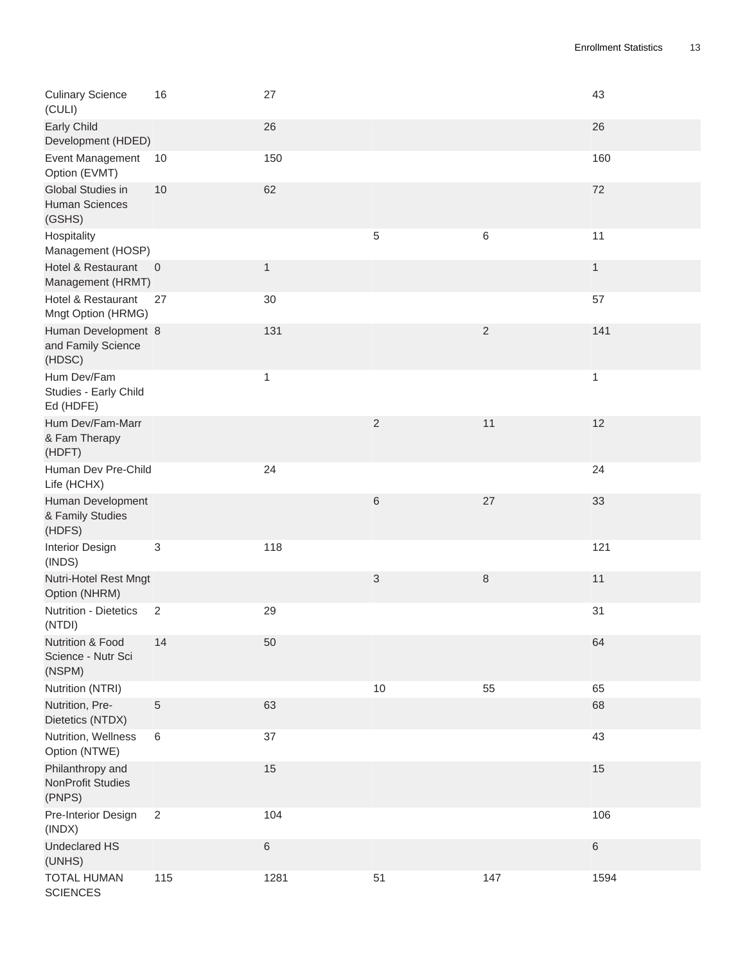| <b>Culinary Science</b><br>(CULI)                      | 16                        | 27           |                           |                | 43           |
|--------------------------------------------------------|---------------------------|--------------|---------------------------|----------------|--------------|
| <b>Early Child</b><br>Development (HDED)               |                           | 26           |                           |                | 26           |
| Event Management<br>Option (EVMT)                      | 10                        | 150          |                           |                | 160          |
| Global Studies in<br><b>Human Sciences</b><br>(GSHS)   | 10                        | 62           |                           |                | 72           |
| Hospitality<br>Management (HOSP)                       |                           |              | 5                         | 6              | 11           |
| Hotel & Restaurant<br>Management (HRMT)                | $\overline{\phantom{0}}$  | $\mathbf{1}$ |                           |                | $\mathbf{1}$ |
| Hotel & Restaurant<br>Mngt Option (HRMG)               | 27                        | 30           |                           |                | 57           |
| Human Development 8<br>and Family Science<br>(HDSC)    |                           | 131          |                           | $\overline{2}$ | 141          |
| Hum Dev/Fam<br>Studies - Early Child<br>Ed (HDFE)      |                           | $\mathbf 1$  |                           |                | 1            |
| Hum Dev/Fam-Marr<br>& Fam Therapy<br>(HDFT)            |                           |              | $\sqrt{2}$                | 11             | 12           |
| Human Dev Pre-Child<br>Life (HCHX)                     |                           | 24           |                           |                | 24           |
| Human Development<br>& Family Studies<br>(HDFS)        |                           |              | $\,$ 6                    | 27             | 33           |
| Interior Design<br>(INDS)                              | $\ensuremath{\mathsf{3}}$ | 118          |                           |                | 121          |
| Nutri-Hotel Rest Mngt<br>Option (NHRM)                 |                           |              | $\ensuremath{\mathsf{3}}$ | $\,8\,$        | 11           |
| Nutrition - Dietetics<br>(NTDI)                        | 2                         | 29           |                           |                | 31           |
| Nutrition & Food<br>Science - Nutr Sci<br>(NSPM)       | 14                        | 50           |                           |                | 64           |
| Nutrition (NTRI)                                       |                           |              | 10                        | 55             | 65           |
| Nutrition, Pre-<br>Dietetics (NTDX)                    | $\mathbf 5$               | 63           |                           |                | 68           |
| Nutrition, Wellness<br>Option (NTWE)                   | 6                         | 37           |                           |                | 43           |
| Philanthropy and<br><b>NonProfit Studies</b><br>(PNPS) |                           | 15           |                           |                | 15           |
| Pre-Interior Design<br>(INDX)                          | 2                         | 104          |                           |                | 106          |
| <b>Undeclared HS</b><br>(UNHS)                         |                           | $\,6$        |                           |                | 6            |
| <b>TOTAL HUMAN</b><br><b>SCIENCES</b>                  | 115                       | 1281         | 51                        | 147            | 1594         |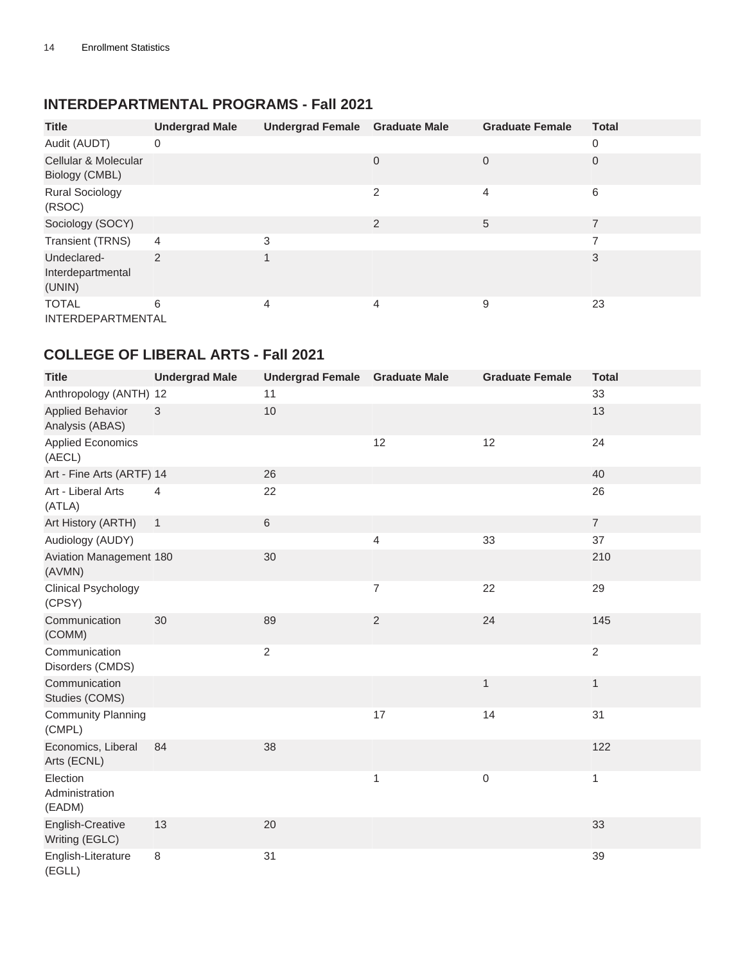#### <span id="page-13-0"></span>**INTERDEPARTMENTAL PROGRAMS - Fall 2021**

| <b>Title</b>                               | <b>Undergrad Male</b> | <b>Undergrad Female</b> | <b>Graduate Male</b> | <b>Graduate Female</b> | <b>Total</b>   |
|--------------------------------------------|-----------------------|-------------------------|----------------------|------------------------|----------------|
| Audit (AUDT)                               | 0                     |                         |                      |                        | $\mathbf 0$    |
| Cellular & Molecular<br>Biology (CMBL)     |                       |                         | $\Omega$             | $\mathbf 0$            | 0              |
| <b>Rural Sociology</b><br>(RSOC)           |                       |                         | 2                    | 4                      | 6              |
| Sociology (SOCY)                           |                       |                         | 2                    | 5                      | $\overline{7}$ |
| <b>Transient (TRNS)</b>                    | 4                     | 3                       |                      |                        | $\overline{ }$ |
| Undeclared-<br>Interdepartmental<br>(UNIN) | $\overline{2}$        |                         |                      |                        | 3              |
| <b>TOTAL</b><br><b>INTERDEPARTMENTAL</b>   | 6                     | 4                       | 4                    | 9                      | 23             |

#### <span id="page-13-1"></span>**COLLEGE OF LIBERAL ARTS - Fall 2021**

| <b>Title</b>                               | <b>Undergrad Male</b> | <b>Undergrad Female</b> | <b>Graduate Male</b> | <b>Graduate Female</b> | <b>Total</b>   |
|--------------------------------------------|-----------------------|-------------------------|----------------------|------------------------|----------------|
| Anthropology (ANTH) 12                     |                       | 11                      |                      |                        | 33             |
| <b>Applied Behavior</b><br>Analysis (ABAS) | 3                     | 10                      |                      |                        | 13             |
| <b>Applied Economics</b><br>(AECL)         |                       |                         | 12                   | 12                     | 24             |
| Art - Fine Arts (ARTF) 14                  |                       | 26                      |                      |                        | 40             |
| Art - Liberal Arts<br>(ATLA)               | $\overline{4}$        | 22                      |                      |                        | 26             |
| Art History (ARTH)                         | $\mathbf{1}$          | $\,6\,$                 |                      |                        | $\overline{7}$ |
| Audiology (AUDY)                           |                       |                         | 4                    | 33                     | 37             |
| Aviation Management 180<br>(AVMN)          |                       | 30                      |                      |                        | 210            |
| <b>Clinical Psychology</b><br>(CPSY)       |                       |                         | 7                    | 22                     | 29             |
| Communication<br>(COMM)                    | 30                    | 89                      | $\sqrt{2}$           | 24                     | 145            |
| Communication<br>Disorders (CMDS)          |                       | $\overline{c}$          |                      |                        | $\overline{2}$ |
| Communication<br>Studies (COMS)            |                       |                         |                      | $\mathbf{1}$           | 1              |
| <b>Community Planning</b><br>(CMPL)        |                       |                         | 17                   | 14                     | 31             |
| Economics, Liberal<br>Arts (ECNL)          | 84                    | 38                      |                      |                        | 122            |
| Election<br>Administration<br>(EADM)       |                       |                         | 1                    | 0                      | 1              |
| English-Creative<br>Writing (EGLC)         | 13                    | 20                      |                      |                        | 33             |
| English-Literature<br>(EGLL)               | $\,8\,$               | 31                      |                      |                        | 39             |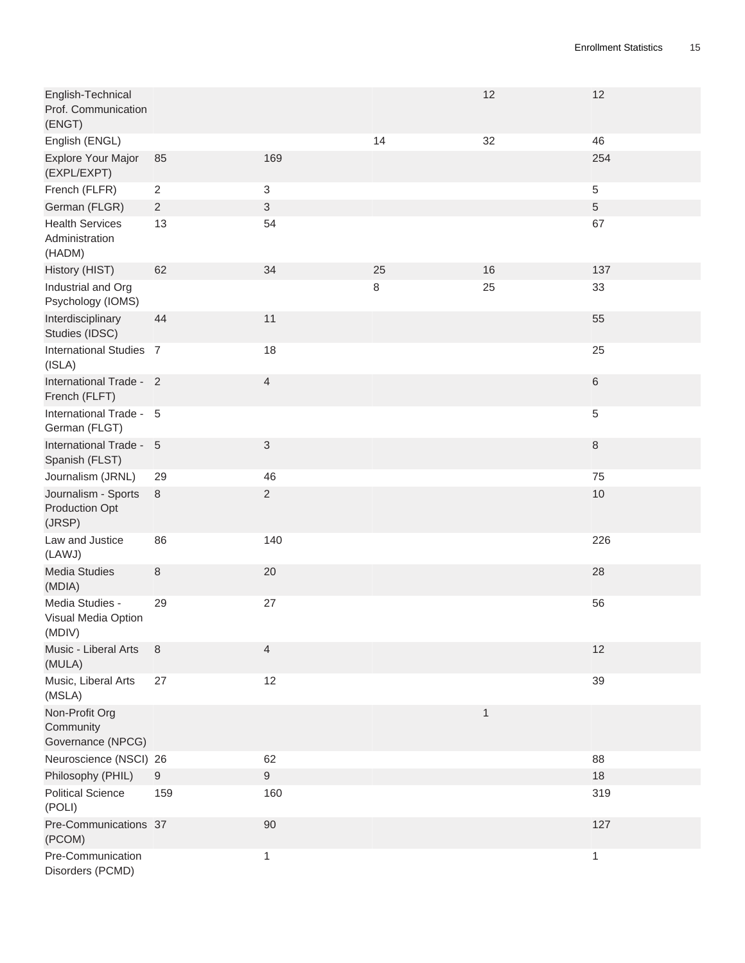| English-Technical<br>Prof. Communication<br>(ENGT)     |                |                           |    | 12 | 12             |
|--------------------------------------------------------|----------------|---------------------------|----|----|----------------|
| English (ENGL)                                         |                |                           | 14 | 32 | 46             |
| Explore Your Major<br>(EXPL/EXPT)                      | 85             | 169                       |    |    | 254            |
| French (FLFR)                                          | $\overline{2}$ | $\ensuremath{\mathsf{3}}$ |    |    | $\sqrt{5}$     |
| German (FLGR)                                          | $\overline{2}$ | $\mathfrak{S}$            |    |    | $\overline{5}$ |
| <b>Health Services</b><br>Administration<br>(HADM)     | 13             | 54                        |    |    | 67             |
| History (HIST)                                         | 62             | 34                        | 25 | 16 | 137            |
| Industrial and Org<br>Psychology (IOMS)                |                |                           | 8  | 25 | 33             |
| Interdisciplinary<br>Studies (IDSC)                    | 44             | 11                        |    |    | 55             |
| International Studies 7<br>(ISLA)                      |                | 18                        |    |    | 25             |
| International Trade - 2<br>French (FLFT)               |                | $\overline{4}$            |    |    | $\,6\,$        |
| International Trade - 5<br>German (FLGT)               |                |                           |    |    | 5              |
| International Trade - 5<br>Spanish (FLST)              |                | $\ensuremath{\mathsf{3}}$ |    |    | $\,8\,$        |
| Journalism (JRNL)                                      | 29             | 46                        |    |    | 75             |
| Journalism - Sports<br><b>Production Opt</b><br>(JRSP) | 8              | $\overline{c}$            |    |    | 10             |
| Law and Justice<br>(LAWJ)                              | 86             | 140                       |    |    | 226            |
| <b>Media Studies</b><br>(MDIA)                         | $\,8\,$        | 20                        |    |    | 28             |
| Media Studies -<br>Visual Media Option<br>(MDIV)       | 29             | 27                        |    |    | 56             |
| Music - Liberal Arts<br>(MULA)                         | 8              | 4                         |    |    | 12             |
| Music, Liberal Arts<br>(MSLA)                          | 27             | 12                        |    |    | 39             |
| Non-Profit Org<br>Community<br>Governance (NPCG)       |                |                           |    | 1  |                |
| Neuroscience (NSCI) 26                                 |                | 62                        |    |    | 88             |
| Philosophy (PHIL)                                      | 9              | $\mathsf g$               |    |    | 18             |
| <b>Political Science</b><br>(POLI)                     | 159            | 160                       |    |    | 319            |
| Pre-Communications 37<br>(PCOM)                        |                | 90                        |    |    | 127            |
| Pre-Communication<br>Disorders (PCMD)                  |                | $\mathbf{1}$              |    |    | $\mathbf{1}$   |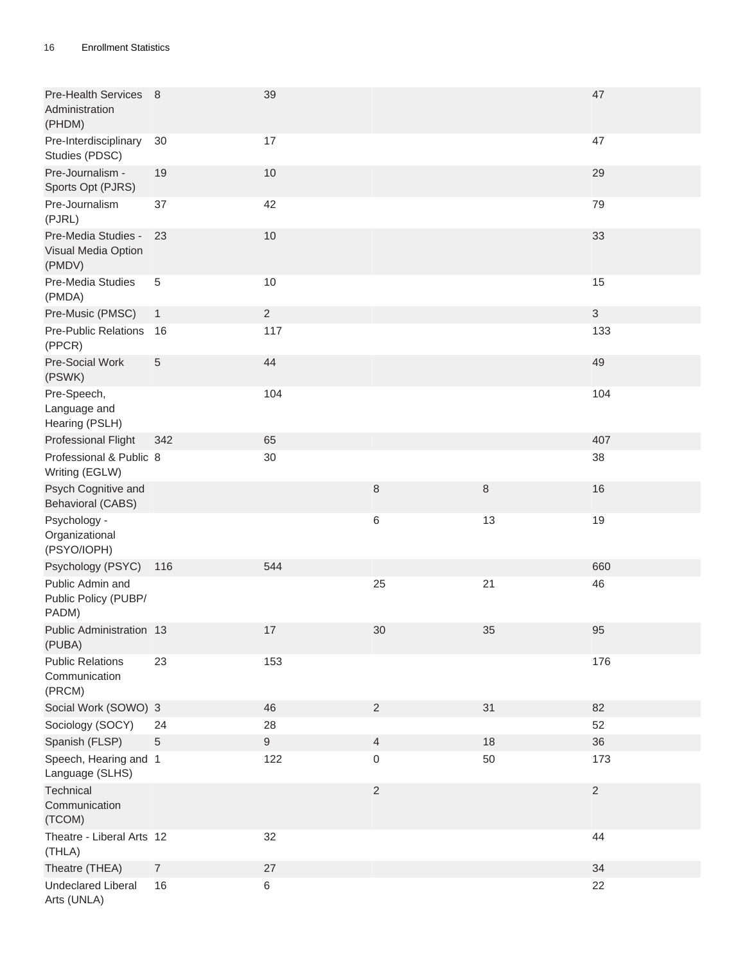| Pre-Health Services 8<br>Administration<br>(PHDM)    |                | 39               |                |         | 47         |
|------------------------------------------------------|----------------|------------------|----------------|---------|------------|
| Pre-Interdisciplinary<br>Studies (PDSC)              | 30             | 17               |                |         | 47         |
| Pre-Journalism -<br>Sports Opt (PJRS)                | 19             | 10               |                |         | 29         |
| Pre-Journalism<br>(PJRL)                             | 37             | 42               |                |         | 79         |
| Pre-Media Studies -<br>Visual Media Option<br>(PMDV) | 23             | $10$             |                |         | 33         |
| Pre-Media Studies<br>(PMDA)                          | $\overline{5}$ | 10               |                |         | 15         |
| Pre-Music (PMSC)                                     | $\mathbf{1}$   | $\sqrt{2}$       |                |         | 3          |
| Pre-Public Relations<br>(PPCR)                       | 16             | 117              |                |         | 133        |
| Pre-Social Work<br>(PSWK)                            | 5              | 44               |                |         | 49         |
| Pre-Speech,<br>Language and<br>Hearing (PSLH)        |                | 104              |                |         | 104        |
| Professional Flight                                  | 342            | 65               |                |         | 407        |
| Professional & Public 8<br>Writing (EGLW)            |                | 30               |                |         | 38         |
| Psych Cognitive and<br><b>Behavioral (CABS)</b>      |                |                  | $\,8\,$        | $\,8\,$ | 16         |
| Psychology -<br>Organizational<br>(PSYO/IOPH)        |                |                  | $\,6$          | 13      | 19         |
| Psychology (PSYC)                                    | 116            | 544              |                |         | 660        |
| Public Admin and<br>Public Policy (PUBP/<br>PADM)    |                |                  | 25             | 21      | 46         |
| Public Administration 13<br>(PUBA)                   |                | $17\,$           | $30\,$         | 35      | 95         |
| <b>Public Relations</b><br>Communication<br>(PRCM)   | 23             | 153              |                |         | 176        |
| Social Work (SOWO) 3                                 |                | 46               | $\overline{2}$ | 31      | 82         |
| Sociology (SOCY)                                     | 24             | 28               |                |         | 52         |
| Spanish (FLSP)                                       | 5              | $\boldsymbol{9}$ | $\overline{4}$ | 18      | 36         |
| Speech, Hearing and 1<br>Language (SLHS)             |                | 122              | $\,0\,$        | 50      | 173        |
| Technical<br>Communication<br>(TCOM)                 |                |                  | $\overline{2}$ |         | $\sqrt{2}$ |
| Theatre - Liberal Arts 12<br>(THLA)                  |                | 32               |                |         | 44         |
| Theatre (THEA)                                       | $\overline{7}$ | 27               |                |         | 34         |
| <b>Undeclared Liberal</b><br>Arts (UNLA)             | 16             | 6                |                |         | 22         |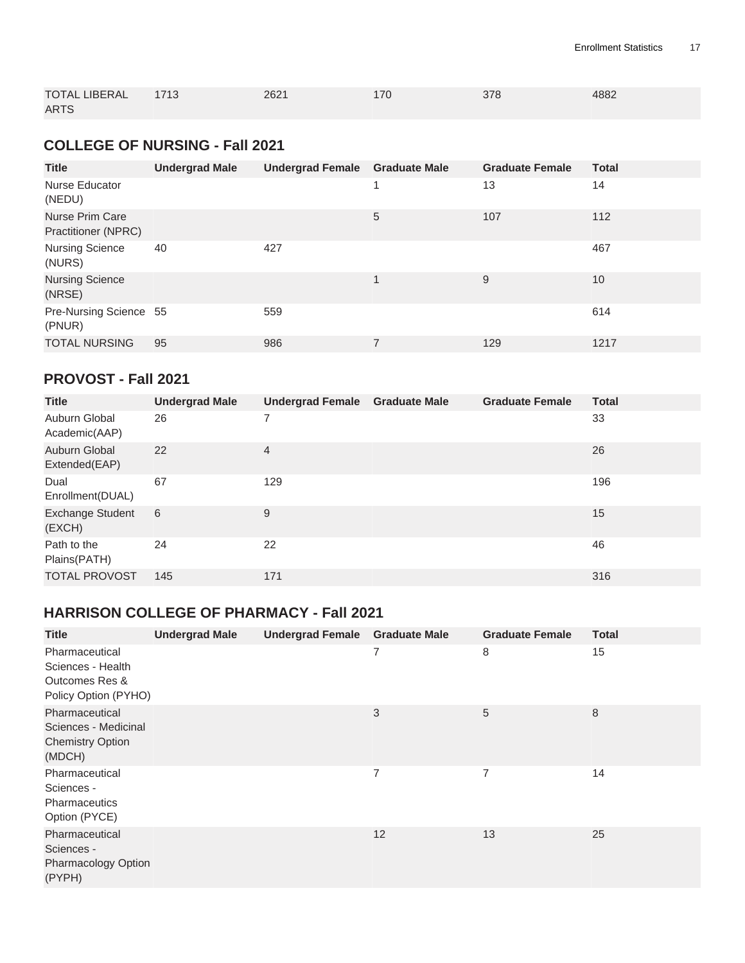| <b>TOTAL LIBERAL</b> | 1713 | 2621 | 170 | 378 | 4882 |
|----------------------|------|------|-----|-----|------|
| <b>ARTS</b>          |      |      |     |     |      |

#### <span id="page-16-0"></span>**COLLEGE OF NURSING - Fall 2021**

| <b>Title</b>                                         |                       |                                       |    |                        |              |
|------------------------------------------------------|-----------------------|---------------------------------------|----|------------------------|--------------|
|                                                      | <b>Undergrad Male</b> | <b>Undergrad Female Graduate Male</b> |    | <b>Graduate Female</b> | <b>Total</b> |
| Nurse Educator<br>(NEDU)                             |                       |                                       | -1 | 13                     | 14           |
| <b>Nurse Prim Care</b><br><b>Practitioner (NPRC)</b> |                       |                                       | 5  | 107                    | 112          |
| <b>Nursing Science</b><br>(NURS)                     | 40                    | 427                                   |    |                        | 467          |
| <b>Nursing Science</b><br>(NRSE)                     |                       |                                       | 1  | 9                      | 10           |
| Pre-Nursing Science 55<br>(PNUR)                     |                       | 559                                   |    |                        | 614          |
| <b>TOTAL NURSING</b>                                 | 95                    | 986                                   | 7  | 129                    | 1217         |

#### <span id="page-16-2"></span>**PROVOST - Fall 2021**

| <b>Title</b>                      | <b>Undergrad Male</b> | <b>Undergrad Female</b> | <b>Graduate Male</b> | <b>Graduate Female</b> | <b>Total</b> |
|-----------------------------------|-----------------------|-------------------------|----------------------|------------------------|--------------|
| Auburn Global<br>Academic(AAP)    | 26                    |                         |                      |                        | 33           |
| Auburn Global<br>Extended(EAP)    | 22                    | $\overline{4}$          |                      |                        | 26           |
| Dual<br>Enrollment(DUAL)          | 67                    | 129                     |                      |                        | 196          |
| <b>Exchange Student</b><br>(EXCH) | 6                     | 9                       |                      |                        | 15           |
| Path to the<br>Plains(PATH)       | 24                    | 22                      |                      |                        | 46           |
| <b>TOTAL PROVOST</b>              | 145                   | 171                     |                      |                        | 316          |

#### <span id="page-16-1"></span>**HARRISON COLLEGE OF PHARMACY - Fall 2021**

| <b>Title</b>                                                                  | <b>Undergrad Male</b> | <b>Undergrad Female</b> | <b>Graduate Male</b> | <b>Graduate Female</b> | <b>Total</b> |
|-------------------------------------------------------------------------------|-----------------------|-------------------------|----------------------|------------------------|--------------|
| Pharmaceutical<br>Sciences - Health<br>Outcomes Res &<br>Policy Option (PYHO) |                       |                         | 7                    | 8                      | 15           |
| Pharmaceutical<br>Sciences - Medicinal<br><b>Chemistry Option</b><br>(MDCH)   |                       |                         | 3                    | 5                      | 8            |
| Pharmaceutical<br>Sciences -<br><b>Pharmaceutics</b><br>Option (PYCE)         |                       |                         | 7                    | 7                      | 14           |
| Pharmaceutical<br>Sciences -<br>Pharmacology Option<br>(PYPH)                 |                       |                         | 12                   | 13                     | 25           |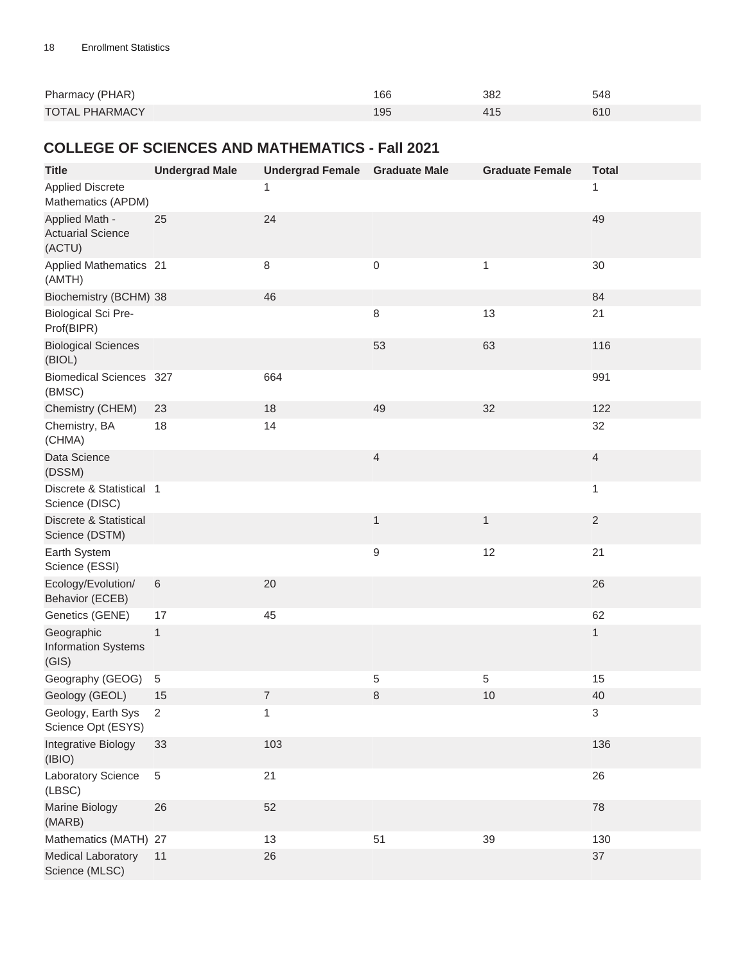| Pharmacy (PHAR)       | 166 | 382 | 548 |
|-----------------------|-----|-----|-----|
| <b>TOTAL PHARMACY</b> | 195 |     | 61C |

#### <span id="page-17-0"></span>**COLLEGE OF SCIENCES AND MATHEMATICS - Fall 2021**

| <b>Title</b>                                         | <b>Undergrad Male</b> | Undergrad Female Graduate Male |              | <b>Graduate Female</b> | <b>Total</b>              |
|------------------------------------------------------|-----------------------|--------------------------------|--------------|------------------------|---------------------------|
| <b>Applied Discrete</b><br>Mathematics (APDM)        |                       | 1                              |              |                        | 1                         |
| Applied Math -<br><b>Actuarial Science</b><br>(ACTU) | 25                    | 24                             |              |                        | 49                        |
| Applied Mathematics 21<br>(AMTH)                     |                       | 8                              | 0            | 1                      | 30                        |
| Biochemistry (BCHM) 38                               |                       | 46                             |              |                        | 84                        |
| <b>Biological Sci Pre-</b><br>Prof(BIPR)             |                       |                                | $\,8\,$      | 13                     | 21                        |
| <b>Biological Sciences</b><br>(BIOL)                 |                       |                                | 53           | 63                     | 116                       |
| <b>Biomedical Sciences 327</b><br>(BMSC)             |                       | 664                            |              |                        | 991                       |
| Chemistry (CHEM)                                     | 23                    | 18                             | 49           | 32                     | 122                       |
| Chemistry, BA<br>(CHMA)                              | 18                    | 14                             |              |                        | 32                        |
| Data Science<br>(DSSM)                               |                       |                                | 4            |                        | $\overline{4}$            |
| Discrete & Statistical 1<br>Science (DISC)           |                       |                                |              |                        | 1                         |
| Discrete & Statistical<br>Science (DSTM)             |                       |                                | $\mathbf{1}$ | $\mathbf{1}$           | $\sqrt{2}$                |
| Earth System<br>Science (ESSI)                       |                       |                                | 9            | 12                     | 21                        |
| Ecology/Evolution/<br>Behavior (ECEB)                | $\,6\,$               | 20                             |              |                        | 26                        |
| Genetics (GENE)                                      | 17                    | 45                             |              |                        | 62                        |
| Geographic<br><b>Information Systems</b><br>(GIS)    | $\mathbf{1}$          |                                |              |                        | $\mathbf{1}$              |
| Geography (GEOG)                                     | $\sqrt{5}$            |                                | 5            | 5                      | 15                        |
| Geology (GEOL)                                       | 15                    | $\overline{7}$                 | 8            | 10                     | 40                        |
| Geology, Earth Sys<br>Science Opt (ESYS)             | $\overline{2}$        | 1                              |              |                        | $\ensuremath{\mathsf{3}}$ |
| Integrative Biology<br>(IBIO)                        | 33                    | 103                            |              |                        | 136                       |
| Laboratory Science<br>(LBSC)                         | $\,$ 5 $\,$           | 21                             |              |                        | 26                        |
| Marine Biology<br>(MARB)                             | 26                    | 52                             |              |                        | 78                        |
| Mathematics (MATH) 27                                |                       | 13                             | 51           | 39                     | 130                       |
| <b>Medical Laboratory</b><br>Science (MLSC)          | 11                    | 26                             |              |                        | 37                        |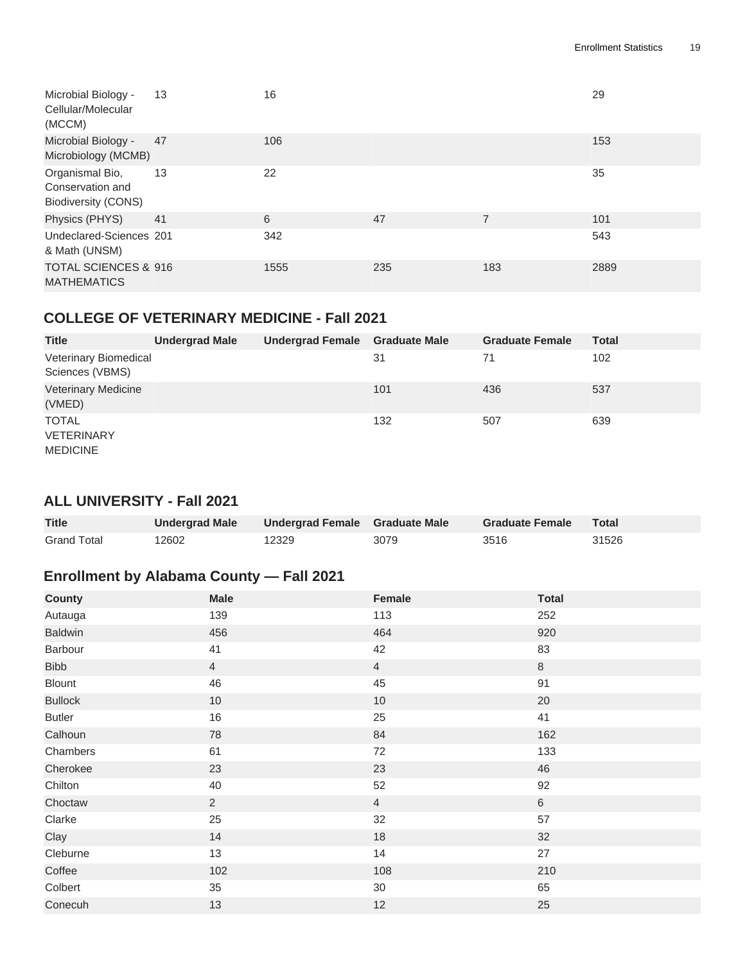| Microbial Biology -<br>Cellular/Molecular<br>(MCCM)               | 13 | 16   |     |                | 29   |
|-------------------------------------------------------------------|----|------|-----|----------------|------|
| Microbial Biology -<br>Microbiology (MCMB)                        | 47 | 106  |     |                | 153  |
| Organismal Bio,<br>Conservation and<br><b>Biodiversity (CONS)</b> | 13 | 22   |     |                | 35   |
| Physics (PHYS)                                                    | 41 | 6    | 47  | $\overline{7}$ | 101  |
| Undeclared-Sciences 201<br>& Math (UNSM)                          |    | 342  |     |                | 543  |
| <b>TOTAL SCIENCES &amp; 916</b><br><b>MATHEMATICS</b>             |    | 1555 | 235 | 183            | 2889 |

#### <span id="page-18-0"></span>**COLLEGE OF VETERINARY MEDICINE - Fall 2021**

| <b>Title</b>                                         | <b>Undergrad Male</b> | Undergrad Female Graduate Male |     | <b>Graduate Female</b> | <b>Total</b> |
|------------------------------------------------------|-----------------------|--------------------------------|-----|------------------------|--------------|
| Veterinary Biomedical<br>Sciences (VBMS)             |                       |                                | 31  | 71                     | 102          |
| <b>Veterinary Medicine</b><br>(VMED)                 |                       |                                | 101 | 436                    | 537          |
| <b>TOTAL</b><br><b>VETERINARY</b><br><b>MEDICINE</b> |                       |                                | 132 | 507                    | 639          |

#### <span id="page-18-2"></span><span id="page-18-1"></span>**ALL UNIVERSITY - Fall 2021**

| <b>Title</b>       | <b>Undergrad Male</b> | Undergrad Female Graduate Male |      | <b>Graduate Female</b> | Total |
|--------------------|-----------------------|--------------------------------|------|------------------------|-------|
| <b>Grand Total</b> | 12602                 | 12329                          | 3079 | 3516                   | 31526 |

### <span id="page-18-3"></span>**Enrollment by Alabama County — Fall 2021**

| <b>County</b>  | <b>Male</b>    | Female         | <b>Total</b> |
|----------------|----------------|----------------|--------------|
| Autauga        | 139            | 113            | 252          |
| <b>Baldwin</b> | 456            | 464            | 920          |
| Barbour        | 41             | 42             | 83           |
| <b>Bibb</b>    | $\overline{4}$ | $\overline{4}$ | $\,8\,$      |
| Blount         | 46             | 45             | 91           |
| <b>Bullock</b> | $10$           | 10             | 20           |
| <b>Butler</b>  | 16             | 25             | 41           |
| Calhoun        | 78             | 84             | 162          |
| Chambers       | 61             | 72             | 133          |
| Cherokee       | 23             | 23             | 46           |
| Chilton        | 40             | 52             | 92           |
| Choctaw        | $\overline{2}$ | $\overline{4}$ | $\,6\,$      |
| Clarke         | 25             | 32             | 57           |
| Clay           | 14             | 18             | 32           |
| Cleburne       | 13             | 14             | 27           |
| Coffee         | 102            | 108            | 210          |
| Colbert        | 35             | $30\,$         | 65           |
| Conecuh        | 13             | 12             | 25           |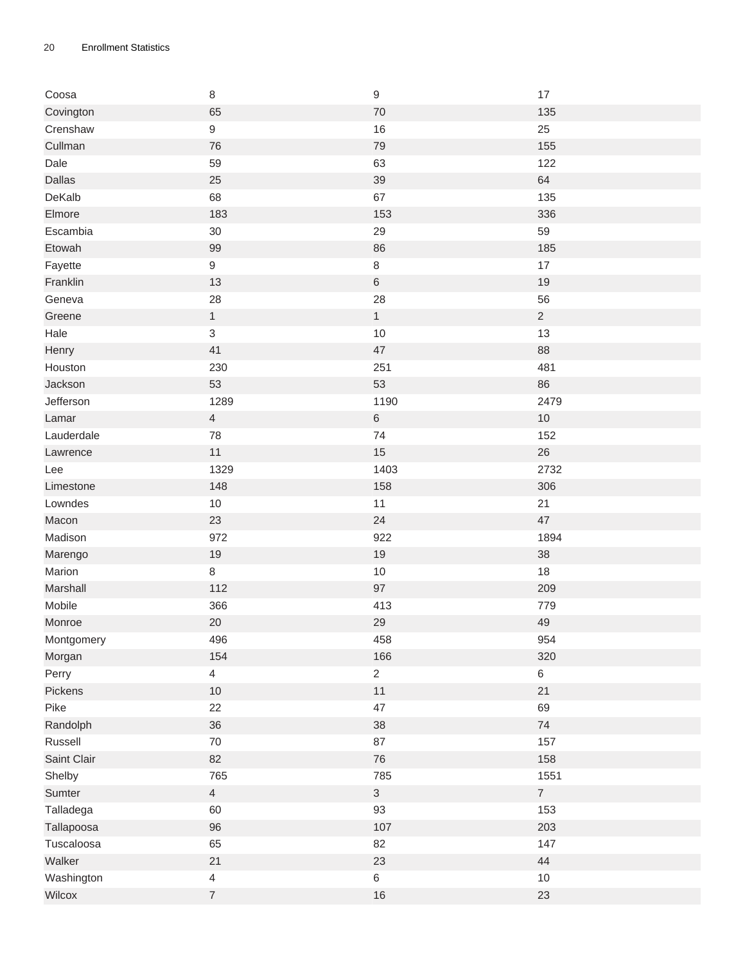| Coosa       | $\,8\,$          | 9              | 17             |
|-------------|------------------|----------------|----------------|
| Covington   | 65               | 70             | 135            |
| Crenshaw    | $\boldsymbol{9}$ | 16             | 25             |
| Cullman     | 76               | 79             | 155            |
| Dale        | 59               | 63             | 122            |
| Dallas      | 25               | 39             | 64             |
| DeKalb      | 68               | 67             | 135            |
| Elmore      | 183              | 153            | 336            |
| Escambia    | 30               | 29             | 59             |
| Etowah      | 99               | 86             | 185            |
| Fayette     | $\boldsymbol{9}$ | $\,8\,$        | 17             |
| Franklin    | 13               | $\,6\,$        | 19             |
| Geneva      | 28               | 28             | 56             |
| Greene      | $\mathbf{1}$     | $\mathbf{1}$   | $\overline{c}$ |
| Hale        | $\mathfrak{S}$   | 10             | 13             |
| Henry       | 41               | 47             | 88             |
| Houston     | 230              | 251            | 481            |
| Jackson     | 53               | 53             | 86             |
| Jefferson   | 1289             | 1190           | 2479           |
| Lamar       | $\overline{4}$   | $\,6\,$        | $10$           |
| Lauderdale  | 78               | 74             | 152            |
| Lawrence    | 11               | 15             | 26             |
| Lee         | 1329             | 1403           | 2732           |
| Limestone   | 148              | 158            | 306            |
| Lowndes     | $10$             | 11             | 21             |
| Macon       | 23               | 24             | 47             |
| Madison     | 972              | 922            | 1894           |
| Marengo     | 19               | $19$           | $38\,$         |
| Marion      | 8                | $10$           | 18             |
| Marshall    | 112              | 97             | 209            |
| Mobile      | 366              | 413            | 779            |
| Monroe      | 20               | 29             | 49             |
| Montgomery  | 496              | 458            | 954            |
| Morgan      | 154              | 166            | 320            |
| Perry       | $\overline{4}$   | $\overline{2}$ | $\,6\,$        |
| Pickens     | $10$             | 11             | 21             |
| Pike        | 22               | 47             | 69             |
| Randolph    | 36               | 38             | 74             |
| Russell     | $70\,$           | 87             | 157            |
| Saint Clair | 82               | 76             | 158            |
| Shelby      | 765              | 785            | 1551           |
| Sumter      | $\overline{4}$   | 3 <sup>1</sup> | $\overline{7}$ |
| Talladega   | 60               | 93             | 153            |
| Tallapoosa  | 96               | 107            | 203            |
| Tuscaloosa  | 65               | 82             | 147            |
| Walker      | 21               | 23             | $44\,$         |
|             | $\overline{4}$   | $\,6\,$        | $10$           |
| Washington  |                  |                |                |
| Wilcox      | $\boldsymbol{7}$ | $16\,$         | 23             |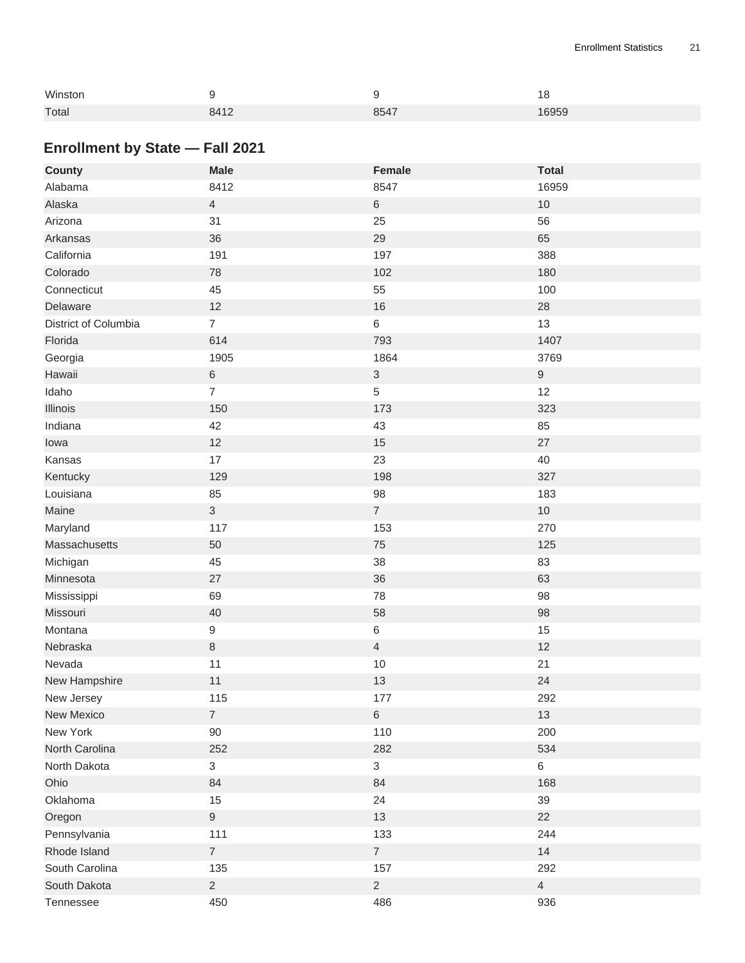| Winston |      |      | 18    |
|---------|------|------|-------|
| Total   | 8412 | 8547 | 16959 |

## <span id="page-20-0"></span>**Enrollment by State — Fall 2021**

| <b>County</b>        | <b>Male</b>    | <b>Female</b>  | <b>Total</b>     |
|----------------------|----------------|----------------|------------------|
| Alabama              | 8412           | 8547           | 16959            |
| Alaska               | $\overline{4}$ | $\,6\,$        | $10$             |
| Arizona              | 31             | 25             | 56               |
| Arkansas             | 36             | 29             | 65               |
| California           | 191            | 197            | 388              |
| Colorado             | 78             | 102            | 180              |
| Connecticut          | 45             | 55             | 100              |
| Delaware             | 12             | 16             | $28\,$           |
| District of Columbia | $\overline{7}$ | $\,6\,$        | 13               |
| Florida              | 614            | 793            | 1407             |
| Georgia              | 1905           | 1864           | 3769             |
| Hawaii               | 6              | $\sqrt{3}$     | $\boldsymbol{9}$ |
| Idaho                | $\overline{7}$ | 5              | 12               |
| Illinois             | 150            | 173            | 323              |
| Indiana              | 42             | 43             | 85               |
| lowa                 | 12             | 15             | $27\,$           |
| Kansas               | 17             | 23             | 40               |
| Kentucky             | 129            | 198            | 327              |
| Louisiana            | 85             | 98             | 183              |
| Maine                | $\mathfrak{S}$ | $\overline{7}$ | $10$             |
| Maryland             | 117            | 153            | 270              |
| Massachusetts        | 50             | 75             | 125              |
| Michigan             | 45             | 38             | 83               |
| Minnesota            | 27             | 36             | 63               |
| Mississippi          | 69             | 78             | 98               |
| Missouri             | 40             | 58             | 98               |
| Montana              | 9              | $\,6\,$        | 15               |
| Nebraska             | $\,8\,$        | $\overline{4}$ | 12               |
| Nevada               | 11             | $10\,$         | 21               |
| New Hampshire        | 11             | 13             | 24               |
| New Jersey           | 115            | 177            | 292              |
| New Mexico           | $\overline{7}$ | $\,6\,$        | 13               |
| New York             | 90             | 110            | 200              |
| North Carolina       | 252            | 282            | 534              |
| North Dakota         | 3              | $\mathbf{3}$   | $\,6\,$          |
| Ohio                 | 84             | 84             | 168              |
| Oklahoma             | 15             | 24             | 39               |
| Oregon               | 9              | 13             | 22               |
| Pennsylvania         | 111            | 133            | 244              |
| Rhode Island         | $\overline{7}$ | $\overline{7}$ | 14               |
| South Carolina       | 135            | 157            | 292              |
| South Dakota         | $\overline{2}$ | $\overline{2}$ | $\overline{4}$   |
| Tennessee            | 450            | 486            | 936              |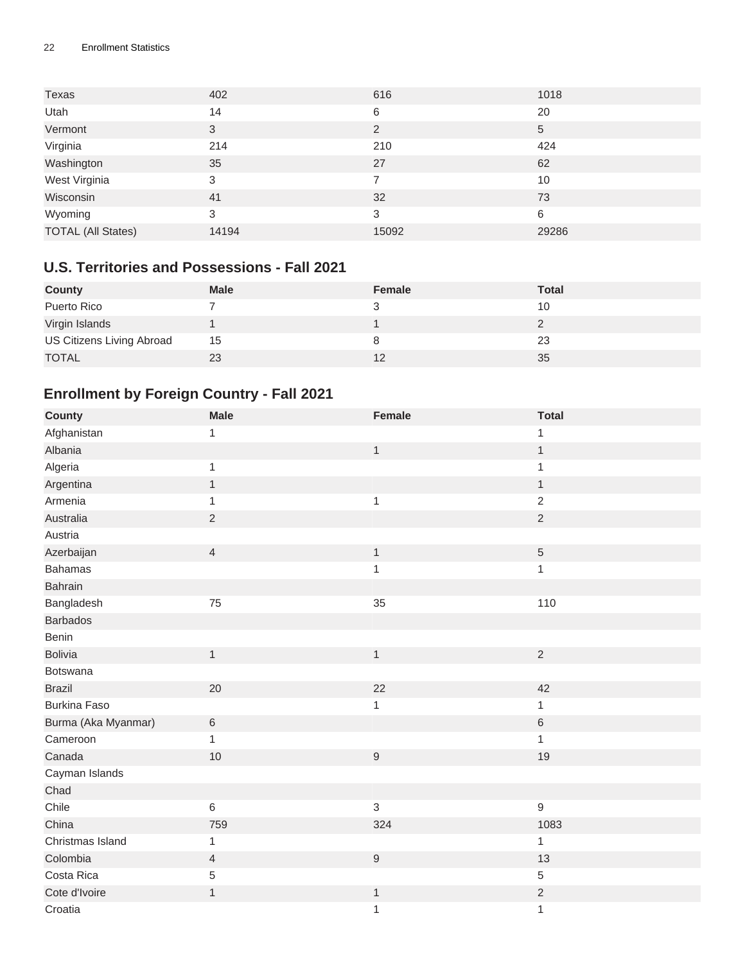#### 22 Enrollment Statistics

| Texas                     | 402   | 616            | 1018  |
|---------------------------|-------|----------------|-------|
| Utah                      | 14    | 6              | 20    |
| Vermont                   | 3     | $\overline{2}$ | 5     |
| Virginia                  | 214   | 210            | 424   |
| Washington                | 35    | 27             | 62    |
| West Virginia             | 3     | 7              | 10    |
| Wisconsin                 | 41    | 32             | 73    |
| Wyoming                   | 3     | 3              | 6     |
| <b>TOTAL (All States)</b> | 14194 | 15092          | 29286 |

#### <span id="page-21-0"></span>**U.S. Territories and Possessions - Fall 2021**

| <b>County</b>             | <b>Male</b> | <b>Female</b> | <b>Total</b> |
|---------------------------|-------------|---------------|--------------|
| Puerto Rico               |             |               | 10           |
| Virgin Islands            |             |               |              |
| US Citizens Living Abroad | 15          |               | 23           |
| <b>TOTAL</b>              | 23          | 12            | 35           |

### <span id="page-21-1"></span>**Enrollment by Foreign Country - Fall 2021**

| <b>County</b>       | <b>Male</b>    | Female           | <b>Total</b>     |
|---------------------|----------------|------------------|------------------|
| Afghanistan         | $\mathbf 1$    |                  | 1                |
| Albania             |                | $\mathbf{1}$     | $\mathbf{1}$     |
| Algeria             | $\mathbf{1}$   |                  | $\mathbf 1$      |
| Argentina           | $\mathbf{1}$   |                  | $\mathbf{1}$     |
| Armenia             | $\mathbf{1}$   | $\mathbf{1}$     | $\sqrt{2}$       |
| Australia           | $\sqrt{2}$     |                  | $\sqrt{2}$       |
| Austria             |                |                  |                  |
| Azerbaijan          | $\overline{4}$ | $\mathbf{1}$     | $\sqrt{5}$       |
| <b>Bahamas</b>      |                | $\mathbf{1}$     | $\mathbf{1}$     |
| Bahrain             |                |                  |                  |
| Bangladesh          | 75             | 35               | 110              |
| <b>Barbados</b>     |                |                  |                  |
| Benin               |                |                  |                  |
| <b>Bolivia</b>      | $\mathbf{1}$   | $\mathbf{1}$     | $\sqrt{2}$       |
| Botswana            |                |                  |                  |
| <b>Brazil</b>       | 20             | 22               | 42               |
| <b>Burkina Faso</b> |                | $\mathbf{1}$     | $\mathbf{1}$     |
| Burma (Aka Myanmar) | $\,6\,$        |                  | $\,6\,$          |
| Cameroon            | $\mathbf{1}$   |                  | $\mathbf{1}$     |
| Canada              | 10             | $\boldsymbol{9}$ | 19               |
| Cayman Islands      |                |                  |                  |
| Chad                |                |                  |                  |
| Chile               | $\,6\,$        | 3                | $\boldsymbol{9}$ |
| China               | 759            | 324              | 1083             |
| Christmas Island    | $\mathbf{1}$   |                  | $\mathbf 1$      |
| Colombia            | $\overline{4}$ | $9\,$            | 13               |
| Costa Rica          | 5              |                  | $\sqrt{5}$       |
| Cote d'Ivoire       | $\mathbf{1}$   | $\mathbf{1}$     | $\sqrt{2}$       |
| Croatia             |                | $\mathbf{1}$     | $\mathbf 1$      |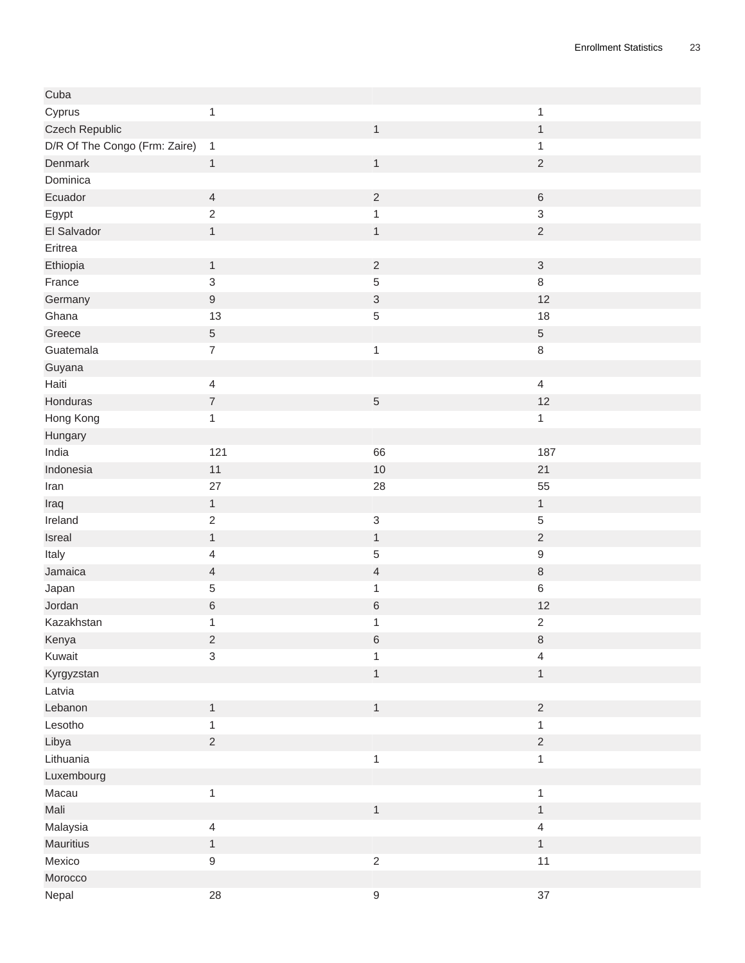| Cuba                          |                            |                           |                           |
|-------------------------------|----------------------------|---------------------------|---------------------------|
| Cyprus                        | $\mathbf{1}$               |                           | $\mathbf{1}$              |
| Czech Republic                |                            | $\mathbf{1}$              | $\mathbf{1}$              |
| D/R Of The Congo (Frm: Zaire) | $\mathbf{1}$               |                           | 1                         |
| Denmark                       | $\mathbf{1}$               | $\mathbf{1}$              | $\sqrt{2}$                |
| Dominica                      |                            |                           |                           |
| Ecuador                       | $\overline{4}$             | $\sqrt{2}$                | $\,$ 6 $\,$               |
| Egypt                         | $\sqrt{2}$                 | $\mathbf{1}$              | $\ensuremath{\mathsf{3}}$ |
| El Salvador                   | $\mathbf{1}$               | $\mathbf{1}$              | $\sqrt{2}$                |
| Eritrea                       |                            |                           |                           |
| Ethiopia                      | $\mathbf{1}$               | $\sqrt{2}$                | $\ensuremath{\mathsf{3}}$ |
| France                        | $\mathsf 3$                | 5                         | $\,8\,$                   |
| Germany                       | $\boldsymbol{9}$           | $\ensuremath{\mathsf{3}}$ | 12                        |
| Ghana                         | 13                         | 5                         | 18                        |
| Greece                        | $\sqrt{5}$                 |                           | $\,$ 5 $\,$               |
| Guatemala                     | $\boldsymbol{7}$           | $\mathbf{1}$              | $\,8\,$                   |
| Guyana                        |                            |                           |                           |
| Haiti                         | $\overline{4}$             |                           | $\overline{4}$            |
| Honduras                      | $\boldsymbol{7}$           | $\,$ 5 $\,$               | 12                        |
| Hong Kong                     | $\mathbf{1}$               |                           | $\mathbf{1}$              |
| Hungary                       |                            |                           |                           |
| India                         | 121                        | 66                        | 187                       |
| Indonesia                     | 11                         | 10                        | 21                        |
| Iran                          | 27                         | 28                        | 55                        |
| Iraq                          | $\mathbf{1}$               |                           | $\mathbf{1}$              |
| Ireland                       | $\sqrt{2}$                 | $\ensuremath{\mathsf{3}}$ | $\,$ 5 $\,$               |
| Isreal                        | $\mathbf{1}$               | $\mathbf{1}$              | $\sqrt{2}$                |
| Italy                         | $\overline{4}$             | $\,$ 5 $\,$               | $\boldsymbol{9}$          |
| Jamaica                       | $\overline{4}$             | $\overline{\mathcal{L}}$  | $\,8\,$                   |
|                               | $\sqrt{5}$                 |                           | $\,6\,$                   |
| Japan<br>Jordan               |                            | 1                         |                           |
| Kazakhstan                    | $\,$ 6 $\,$                | $\,6\,$                   | 12                        |
|                               | $\mathbf{1}$<br>$\sqrt{2}$ | 1                         | $\overline{2}$            |
| Kenya                         | $\overline{3}$             | $\,6$                     | $\,8\,$                   |
| Kuwait                        |                            | $\mathbf{1}$              | $\overline{4}$            |
| Kyrgyzstan                    |                            | $\mathbf{1}$              | $\mathbf{1}$              |
| Latvia                        |                            |                           |                           |
| Lebanon                       | $\mathbf{1}$               | $\mathbf{1}$              | $\sqrt{2}$                |
| Lesotho                       | $\mathbf{1}$               |                           | $\mathbf{1}$              |
| Libya                         | $\sqrt{2}$                 |                           | $\sqrt{2}$                |
| Lithuania                     |                            | $\mathbf{1}$              | $\mathbf{1}$              |
| Luxembourg                    |                            |                           |                           |
| Macau                         | $\mathbf{1}$               |                           | $\mathbf{1}$              |
| Mali                          |                            | $\mathbf{1}$              | $\mathbf 1$               |
| Malaysia                      | $\overline{4}$             |                           | $\overline{4}$            |
| <b>Mauritius</b>              | $\mathbf{1}$               |                           | $\mathbf{1}$              |
| Mexico                        | $\boldsymbol{9}$           | $\overline{2}$            | 11                        |
| Morocco                       |                            |                           |                           |
| Nepal                         | 28                         | $\boldsymbol{9}$          | 37                        |